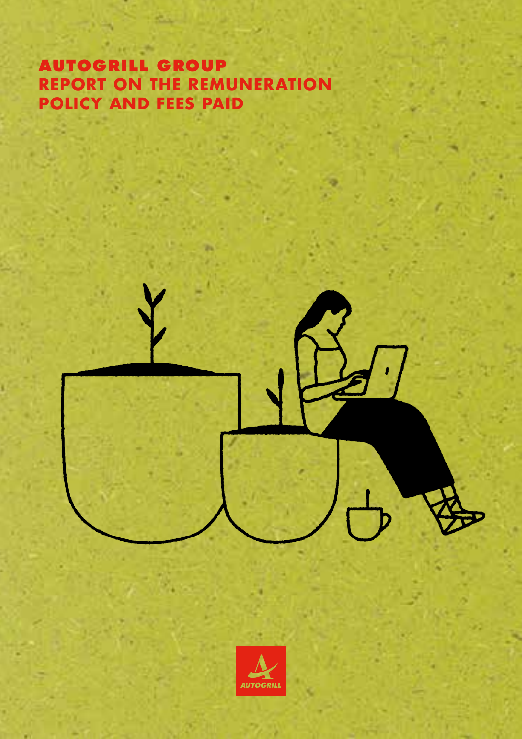## **AUTOGRILL GROUP REPORT ON THE REMUNERATION POLICY AND FEES PAID**

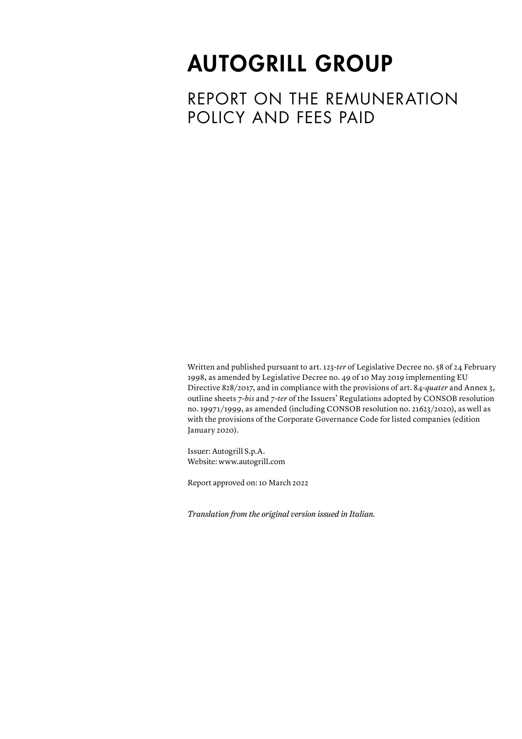# AUTOGRILL GROUP

REPORT ON THE REMUNERATION POLICY AND FEES PAID

Written and published pursuant to art. 123-*ter* of Legislative Decree no. 58 of 24 February 1998, as amended by Legislative Decree no. 49 of 10 May 2019 implementing EU Directive 828/2017, and in compliance with the provisions of art. 84-*quater* and Annex 3, outline sheets 7-*bis* and 7-*ter* of the Issuers' Regulations adopted by CONSOB resolution no. 19971/1999, as amended (including CONSOB resolution no. 21623/2020), as well as with the provisions of the Corporate Governance Code for listed companies (edition January 2020).

Issuer: Autogrill S.p.A. Website: www.autogrill.com

Report approved on: 10 March 2022

*Translation from the original version issued in Italian.*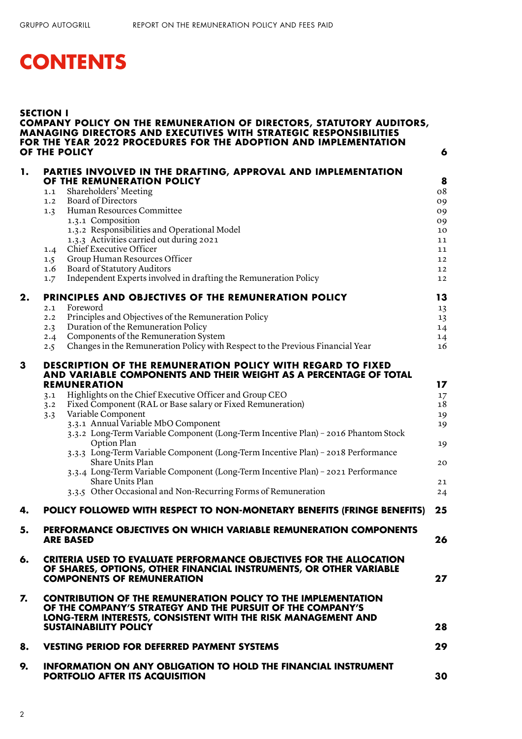## **CONTENTS**

|    | <b>SECTION I</b><br>COMPANY POLICY ON THE REMUNERATION OF DIRECTORS, STATUTORY AUDITORS,<br><b>MANAGING DIRECTORS AND EXECUTIVES WITH STRATEGIC RESPONSIBILITIES</b><br>FOR THE YEAR 2022 PROCEDURES FOR THE ADOPTION AND IMPLEMENTATION<br>OF THE POLICY | 6       |
|----|-----------------------------------------------------------------------------------------------------------------------------------------------------------------------------------------------------------------------------------------------------------|---------|
|    |                                                                                                                                                                                                                                                           |         |
| 1. | PARTIES INVOLVED IN THE DRAFTING, APPROVAL AND IMPLEMENTATION                                                                                                                                                                                             |         |
|    | OF THE REMUNERATION POLICY<br>Shareholders' Meeting<br>1.1                                                                                                                                                                                                | 8<br>08 |
|    | Board of Directors<br>1.2                                                                                                                                                                                                                                 | 09      |
|    | Human Resources Committee<br>1.3                                                                                                                                                                                                                          | 09      |
|    | 1.3.1 Composition                                                                                                                                                                                                                                         | 09      |
|    | 1.3.2 Responsibilities and Operational Model                                                                                                                                                                                                              | 10      |
|    | 1.3.3 Activities carried out during 2021                                                                                                                                                                                                                  | 11      |
|    | Chief Executive Officer<br>1.4                                                                                                                                                                                                                            | 11      |
|    | Group Human Resources Officer<br>1.5                                                                                                                                                                                                                      | 12      |
|    | Board of Statutory Auditors<br>1.6                                                                                                                                                                                                                        | 12      |
|    | Independent Experts involved in drafting the Remuneration Policy<br>1.7                                                                                                                                                                                   | 12      |
| 2. | PRINCIPLES AND OBJECTIVES OF THE REMUNERATION POLICY                                                                                                                                                                                                      | 13      |
|    | Foreword<br>2.1                                                                                                                                                                                                                                           | 13      |
|    | Principles and Objectives of the Remuneration Policy<br>2.2                                                                                                                                                                                               | 13      |
|    | Duration of the Remuneration Policy<br>2.3                                                                                                                                                                                                                | 14      |
|    | Components of the Remuneration System<br>2.4                                                                                                                                                                                                              | 14      |
|    | Changes in the Remuneration Policy with Respect to the Previous Financial Year<br>2.5                                                                                                                                                                     | 16      |
| 3  | <b>DESCRIPTION OF THE REMUNERATION POLICY WITH REGARD TO FIXED</b><br>AND VARIABLE COMPONENTS AND THEIR WEIGHT AS A PERCENTAGE OF TOTAL<br><b>REMUNERATION</b>                                                                                            | 17      |
|    | Highlights on the Chief Executive Officer and Group CEO<br>3.1                                                                                                                                                                                            | 17      |
|    | Fixed Component (RAL or Base salary or Fixed Remuneration)<br>3.2                                                                                                                                                                                         | 18      |
|    | Variable Component<br>3.3                                                                                                                                                                                                                                 | 19      |
|    | 3.3.1 Annual Variable MbO Component                                                                                                                                                                                                                       | 19      |
|    | 3.3.2 Long-Term Variable Component (Long-Term Incentive Plan) - 2016 Phantom Stock<br>Option Plan                                                                                                                                                         | 19      |
|    | 3.3.3 Long-Term Variable Component (Long-Term Incentive Plan) - 2018 Performance<br>Share Units Plan                                                                                                                                                      | 20      |
|    | 3.3.4 Long-Term Variable Component (Long-Term Incentive Plan) - 2021 Performance<br>Share Units Plan                                                                                                                                                      | 21      |
|    | 3.3.5 Other Occasional and Non-Recurring Forms of Remuneration                                                                                                                                                                                            | 24      |
| 4. | POLICY FOLLOWED WITH RESPECT TO NON-MONETARY BENEFITS (FRINGE BENEFITS)                                                                                                                                                                                   | 25      |
| 5. | PERFORMANCE OBJECTIVES ON WHICH VARIABLE REMUNERATION COMPONENTS<br><b>ARE BASED</b>                                                                                                                                                                      | 26      |
| 6. | <b>CRITERIA USED TO EVALUATE PERFORMANCE OBJECTIVES FOR THE ALLOCATION</b><br>OF SHARES, OPTIONS, OTHER FINANCIAL INSTRUMENTS, OR OTHER VARIABLE<br><b>COMPONENTS OF REMUNERATION</b>                                                                     | 27      |
| 7. | <b>CONTRIBUTION OF THE REMUNERATION POLICY TO THE IMPLEMENTATION</b><br>OF THE COMPANY'S STRATEGY AND THE PURSUIT OF THE COMPANY'S<br>LONG-TERM INTERESTS, CONSISTENT WITH THE RISK MANAGEMENT AND<br><b>SUSTAINABILITY POLICY</b>                        | 28      |
| 8. | <b>VESTING PERIOD FOR DEFERRED PAYMENT SYSTEMS</b>                                                                                                                                                                                                        | 29      |
| 9. | <b>INFORMATION ON ANY OBLIGATION TO HOLD THE FINANCIAL INSTRUMENT</b><br><b>PORTFOLIO AFTER ITS ACQUISITION</b>                                                                                                                                           | 30      |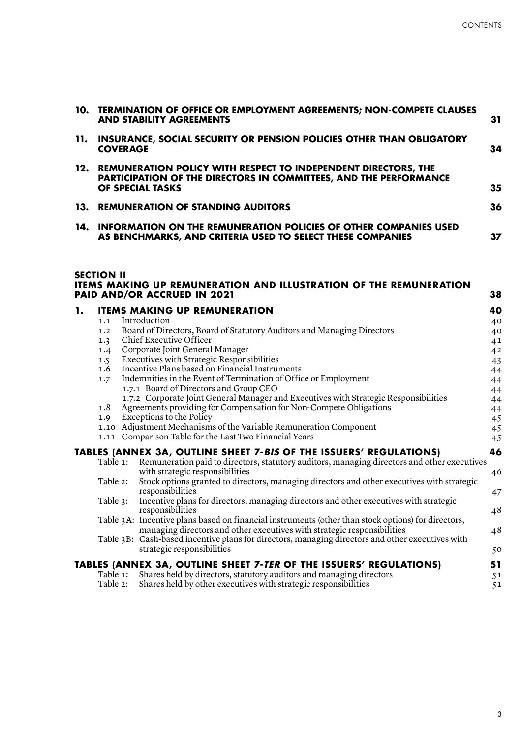|     | 10. TERMINATION OF OFFICE OR EMPLOYMENT AGREEMENTS; NON-COMPETE CLAUSES<br><b>AND STABILITY AGREEMENTS</b>                                                     | 31 |
|-----|----------------------------------------------------------------------------------------------------------------------------------------------------------------|----|
| 11. | <b>INSURANCE, SOCIAL SECURITY OR PENSION POLICIES OTHER THAN OBLIGATORY</b><br><b>COVERAGE</b>                                                                 | 34 |
| 12. | <b>REMUNERATION POLICY WITH RESPECT TO INDEPENDENT DIRECTORS, THE</b><br>PARTICIPATION OF THE DIRECTORS IN COMMITTEES, AND THE PERFORMANCE<br>OF SPECIAL TASKS | 35 |
| 13. | <b>REMUNERATION OF STANDING AUDITORS</b>                                                                                                                       | 36 |
| 14. | <b>INFORMATION ON THE REMUNERATION POLICIES OF OTHER COMPANIES USED</b><br>AS BENCHMARKS, AND CRITERIA USED TO SELECT THESE COMPANIES                          | 37 |

|    | <b>SECTION II</b>    | <b>ITEMS MAKING UP REMUNERATION AND ILLUSTRATION OF THE REMUNERATION</b><br>PAID AND/OR ACCRUED IN 2021                                                                                                                      | 38             |
|----|----------------------|------------------------------------------------------------------------------------------------------------------------------------------------------------------------------------------------------------------------------|----------------|
| 1. |                      | <b>ITEMS MAKING UP REMUNERATION</b>                                                                                                                                                                                          | 40             |
|    | 1.1                  | Introduction                                                                                                                                                                                                                 | 40             |
|    | 1.2                  | Board of Directors, Board of Statutory Auditors and Managing Directors                                                                                                                                                       | 40             |
|    | 1.3                  | Chief Executive Officer                                                                                                                                                                                                      | 41             |
|    | 1.4                  | Corporate Joint General Manager                                                                                                                                                                                              | 4 <sup>2</sup> |
|    | 1.5                  | Executives with Strategic Responsibilities                                                                                                                                                                                   | 43             |
|    | $1.6^{\circ}$        | Incentive Plans based on Financial Instruments                                                                                                                                                                               | 44             |
|    | 1.7                  | Indemnities in the Event of Termination of Office or Employment                                                                                                                                                              | 44             |
|    |                      | 1.7.1 Board of Directors and Group CEO<br>1.7.2 Corporate Joint General Manager and Executives with Strategic Responsibilities                                                                                               | 44             |
|    | 1.8                  | Agreements providing for Compensation for Non-Compete Obligations                                                                                                                                                            | 44             |
|    | 1.9                  | Exceptions to the Policy                                                                                                                                                                                                     | 44<br>45       |
|    |                      | 1.10 Adjustment Mechanisms of the Variable Remuneration Component                                                                                                                                                            | 45             |
|    |                      | 1.11 Comparison Table for the Last Two Financial Years                                                                                                                                                                       | 45             |
|    |                      | TABLES (ANNEX 3A, OUTLINE SHEET 7-BIS OF THE ISSUERS' REGULATIONS)                                                                                                                                                           | 46             |
|    | Table 1:<br>Table 2: | Remuneration paid to directors, statutory auditors, managing directors and other executives<br>with strategic responsibilities<br>Stock options granted to directors, managing directors and other executives with strategic | 46             |
|    | Table 3:             | responsibilities<br>Incentive plans for directors, managing directors and other executives with strategic                                                                                                                    | 47             |
|    |                      | responsibilities<br>Table 3A: Incentive plans based on financial instruments (other than stock options) for directors,                                                                                                       | 48             |
|    |                      | managing directors and other executives with strategic responsibilities<br>Table 3B: Cash-based incentive plans for directors, managing directors and other executives with                                                  | 48             |
|    |                      | strategic responsibilities                                                                                                                                                                                                   | 50             |
|    |                      | TABLES (ANNEX 3A, OUTLINE SHEET 7-TER OF THE ISSUERS' REGULATIONS)                                                                                                                                                           | 51             |
|    | Table 1:             | Shares held by directors, statutory auditors and managing directors                                                                                                                                                          | 51             |
|    | Table 2:             | Shares held by other executives with strategic responsibilities                                                                                                                                                              | 51             |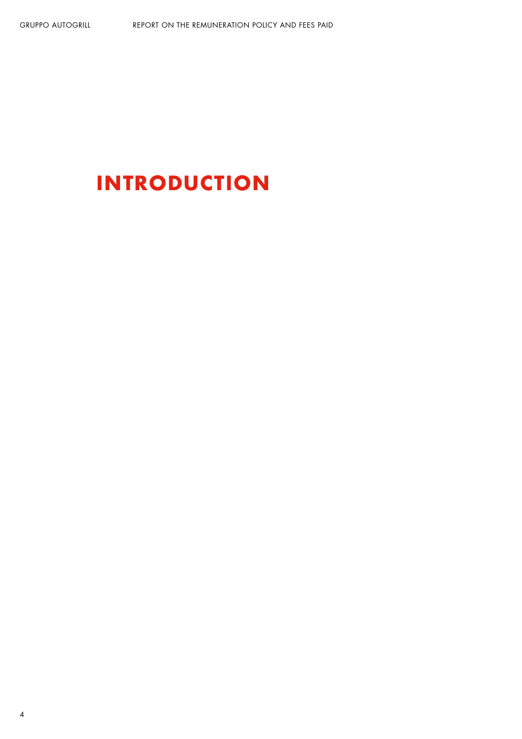# **INTRODUCTION**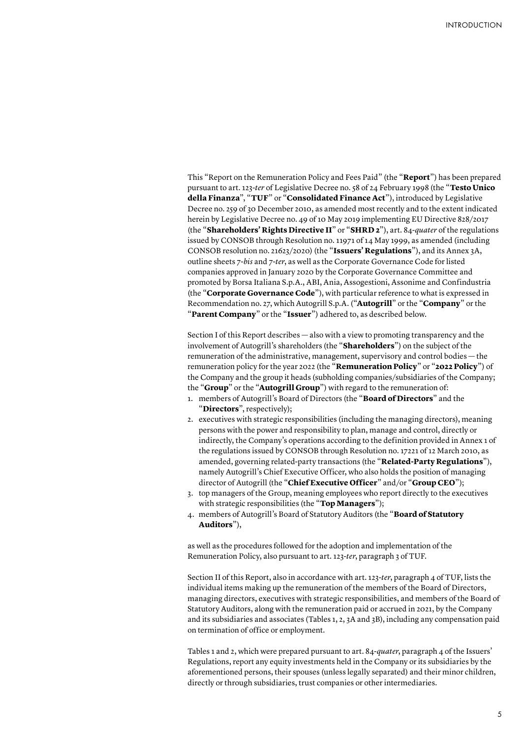This "Report on the Remuneration Policy and Fees Paid" (the "**Report**") has been prepared pursuant to art. 123-*ter* of Legislative Decree no. 58 of 24 February 1998 (the "**Testo Unico della Finanza**", "**TUF**" or "**Consolidated Finance Act**"), introduced by Legislative Decree no. 259 of 30 December 2010, as amended most recently and to the extent indicated herein by Legislative Decree no. 49 of 10 May 2019 implementing EU Directive 828/2017 (the "**Shareholders' Rights Directive II**" or "**SHRD 2**"), art. 84-*quater* of the regulations issued by CONSOB through Resolution no. 11971 of 14 May 1999, as amended (including CONSOB resolution no. 21623/2020) (the "**Issuers' Regulations**"), and its Annex 3A, outline sheets 7-*bis* and 7-*ter*, as well as the Corporate Governance Code for listed companies approved in January 2020 by the Corporate Governance Committee and promoted by Borsa Italiana S.p.A., ABI, Ania, Assogestioni, Assonime and Confindustria (the "**Corporate Governance Code**"), with particular reference to what is expressed in Recommendation no. 27, which Autogrill S.p.A. ("**Autogrill**" or the "**Company**" or the "**Parent Company**" or the "**Issuer**") adhered to, as described below.

Section I of this Report describes — also with a view to promoting transparency and the involvement of Autogrill's shareholders (the "**Shareholders**") on the subject of the remuneration of the administrative, management, supervisory and control bodies — the remuneration policy for the year 2022 (the "**Remuneration Policy**" or "**2022 Policy**") of the Company and the group it heads (subholding companies/subsidiaries of the Company; the "**Group**" or the "**Autogrill Group**") with regard to the remuneration of:

- 1. members of Autogrill's Board of Directors (the "**Board of Directors**" and the "**Directors**", respectively);
- 2. executives with strategic responsibilities (including the managing directors), meaning persons with the power and responsibility to plan, manage and control, directly or indirectly, the Company's operations according to the definition provided in Annex 1 of the regulations issued by CONSOB through Resolution no. 17221 of 12 March 2010, as amended, governing related-party transactions (the "**Related-Party Regulations**"), namely Autogrill's Chief Executive Officer, who also holds the position of managing director of Autogrill (the "**Chief Executive Officer**" and/or "**Group CEO**");
- 3. top managers of the Group, meaning employees who report directly to the executives with strategic responsibilities (the "**Top Managers**");
- 4. members of Autogrill's Board of Statutory Auditors (the "**Board of Statutory Auditors**"),

as well as the procedures followed for the adoption and implementation of the Remuneration Policy, also pursuant to art. 123-*ter*, paragraph 3 of TUF.

Section II of this Report, also in accordance with art. 123-*ter*, paragraph 4 of TUF, lists the individual items making up the remuneration of the members of the Board of Directors, managing directors, executives with strategic responsibilities, and members of the Board of Statutory Auditors, along with the remuneration paid or accrued in 2021, by the Company and its subsidiaries and associates (Tables 1, 2, 3A and 3B), including any compensation paid on termination of office or employment.

Tables 1 and 2, which were prepared pursuant to art. 84-*quater*, paragraph 4 of the Issuers' Regulations, report any equity investments held in the Company or its subsidiaries by the aforementioned persons, their spouses (unless legally separated) and their minor children, directly or through subsidiaries, trust companies or other intermediaries.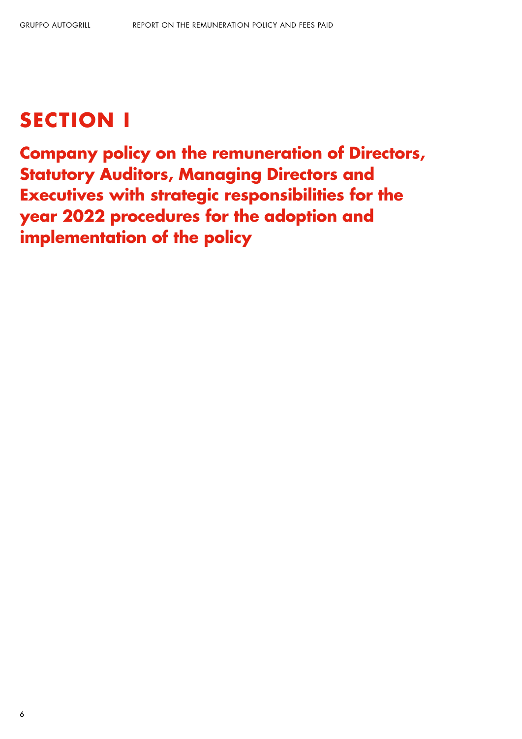# **SECTION I**

**Company policy on the remuneration of Directors, Statutory Auditors, Managing Directors and Executives with strategic responsibilities for the year 2022 procedures for the adoption and implementation of the policy**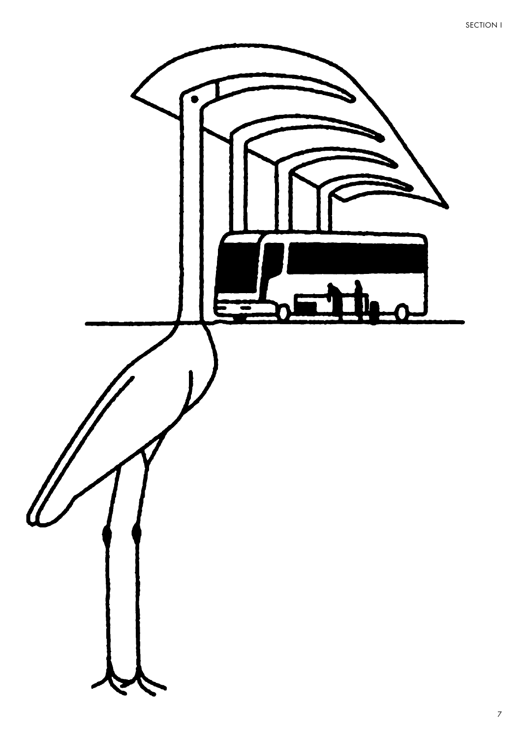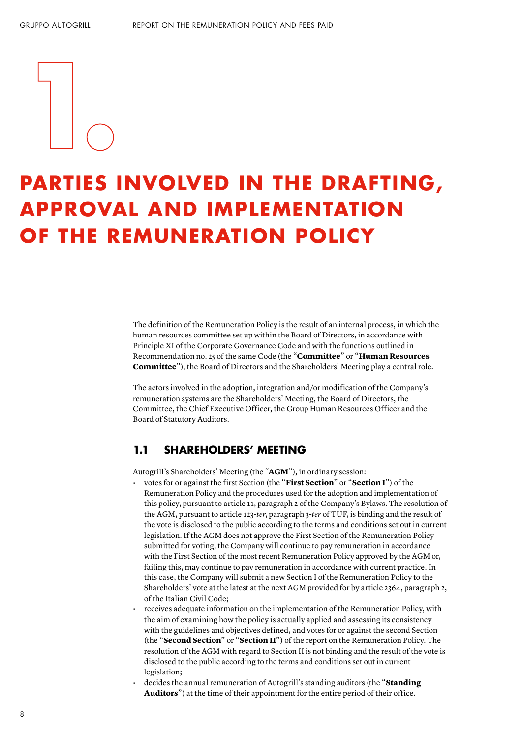# **1.**

# **PARTIES INVOLVED IN THE DRAFTING, APPROVAL AND IMPLEMENTATION OF THE REMUNERATION POLICY**

The definition of the Remuneration Policy is the result of an internal process, in which the human resources committee set up within the Board of Directors, in accordance with Principle XI of the Corporate Governance Code and with the functions outlined in Recommendation no. 25 of the same Code (the "**Committee**" or "**Human Resources Committee**"), the Board of Directors and the Shareholders' Meeting play a central role.

The actors involved in the adoption, integration and/or modification of the Company's remuneration systems are the Shareholders' Meeting, the Board of Directors, the Committee, the Chief Executive Officer, the Group Human Resources Officer and the Board of Statutory Auditors.

### **1.1 SHAREHOLDERS' MEETING**

Autogrill's Shareholders' Meeting (the "**AGM**"), in ordinary session:

- votes for or against the first Section (the "**First Section**" or "**Section I**") of the Remuneration Policy and the procedures used for the adoption and implementation of this policy, pursuant to article 11, paragraph 2 of the Company's Bylaws. The resolution of the AGM, pursuant to article 123-*ter*, paragraph 3-*ter* of TUF, is binding and the result of the vote is disclosed to the public according to the terms and conditions set out in current legislation. If the AGM does not approve the First Section of the Remuneration Policy submitted for voting, the Company will continue to pay remuneration in accordance with the First Section of the most recent Remuneration Policy approved by the AGM or, failing this, may continue to pay remuneration in accordance with current practice. In this case, the Company will submit a new Section I of the Remuneration Policy to the Shareholders' vote at the latest at the next AGM provided for by article 2364, paragraph 2, of the Italian Civil Code;
- receives adequate information on the implementation of the Remuneration Policy, with the aim of examining how the policy is actually applied and assessing its consistency with the guidelines and objectives defined, and votes for or against the second Section (the "**Second Section**" or "**Section II**") of the report on the Remuneration Policy. The resolution of the AGM with regard to Section II is not binding and the result of the vote is disclosed to the public according to the terms and conditions set out in current legislation;
- decides the annual remuneration of Autogrill's standing auditors (the "**Standing Auditors**") at the time of their appointment for the entire period of their office.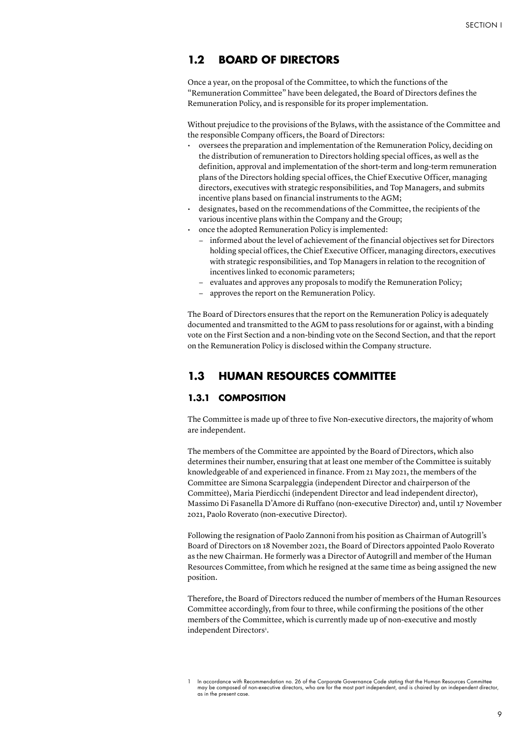### **1.2 BOARD OF DIRECTORS**

Once a year, on the proposal of the Committee, to which the functions of the "Remuneration Committee" have been delegated, the Board of Directors defines the Remuneration Policy, and is responsible for its proper implementation.

Without prejudice to the provisions of the Bylaws, with the assistance of the Committee and the responsible Company officers, the Board of Directors:

- oversees the preparation and implementation of the Remuneration Policy, deciding on the distribution of remuneration to Directors holding special offices, as well as the definition, approval and implementation of the short-term and long-term remuneration plans of the Directors holding special offices, the Chief Executive Officer, managing directors, executives with strategic responsibilities, and Top Managers, and submits incentive plans based on financial instruments to the AGM;
- designates, based on the recommendations of the Committee, the recipients of the various incentive plans within the Company and the Group;
- once the adopted Remuneration Policy is implemented:
	- − informed about the level of achievement of the financial objectives set for Directors holding special offices, the Chief Executive Officer, managing directors, executives with strategic responsibilities, and Top Managers in relation to the recognition of incentives linked to economic parameters;
	- − evaluates and approves any proposals to modify the Remuneration Policy;
	- approves the report on the Remuneration Policy.

The Board of Directors ensures that the report on the Remuneration Policy is adequately documented and transmitted to the AGM to pass resolutions for or against, with a binding vote on the First Section and a non-binding vote on the Second Section, and that the report on the Remuneration Policy is disclosed within the Company structure.

### **1.3 HUMAN RESOURCES COMMITTEE**

### **1.3.1 COMPOSITION**

The Committee is made up of three to five Non-executive directors, the majority of whom are independent.

The members of the Committee are appointed by the Board of Directors, which also determines their number, ensuring that at least one member of the Committee is suitably knowledgeable of and experienced in finance. From 21 May 2021, the members of the Committee are Simona Scarpaleggia (independent Director and chairperson of the Committee), Maria Pierdicchi (independent Director and lead independent director), Massimo Di Fasanella D'Amore di Ruffano (non-executive Director) and, until 17 November 2021, Paolo Roverato (non-executive Director).

Following the resignation of Paolo Zannoni from his position as Chairman of Autogrill's Board of Directors on 18 November 2021, the Board of Directors appointed Paolo Roverato as the new Chairman. He formerly was a Director of Autogrill and member of the Human Resources Committee, from which he resigned at the same time as being assigned the new position.

Therefore, the Board of Directors reduced the number of members of the Human Resources Committee accordingly, from four to three, while confirming the positions of the other members of the Committee, which is currently made up of non-executive and mostly independent Directors<sup>1</sup>.

In accordance with Recommendation no. 26 of the Corporate Governance Code stating that the Human Resources Committee<br>may be composed of non-executive directors, who are for the most part independent, and is chaired by an i as in the present case.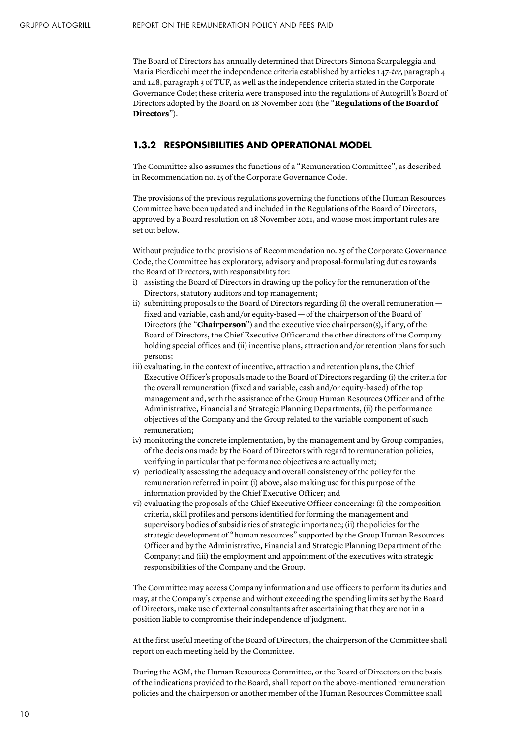The Board of Directors has annually determined that Directors Simona Scarpaleggia and Maria Pierdicchi meet the independence criteria established by articles 147-*ter*, paragraph 4 and 148, paragraph 3 of TUF, as well as the independence criteria stated in the Corporate Governance Code; these criteria were transposed into the regulations of Autogrill's Board of Directors adopted by the Board on 18 November 2021 (the "**Regulations of the Board of Directors**").

### **1.3.2 RESPONSIBILITIES AND OPERATIONAL MODEL**

The Committee also assumes the functions of a "Remuneration Committee", as described in Recommendation no. 25 of the Corporate Governance Code.

The provisions of the previous regulations governing the functions of the Human Resources Committee have been updated and included in the Regulations of the Board of Directors, approved by a Board resolution on 18 November 2021, and whose most important rules are set out below.

Without prejudice to the provisions of Recommendation no. 25 of the Corporate Governance Code, the Committee has exploratory, advisory and proposal-formulating duties towards the Board of Directors, with responsibility for:

- i) assisting the Board of Directors in drawing up the policy for the remuneration of the Directors, statutory auditors and top management;
- ii) submitting proposals to the Board of Directors regarding (i) the overall remuneration  $$ fixed and variable, cash and/or equity-based — of the chairperson of the Board of Directors (the "**Chairperson**") and the executive vice chairperson(s), if any, of the Board of Directors, the Chief Executive Officer and the other directors of the Company holding special offices and (ii) incentive plans, attraction and/or retention plans for such persons;
- iii) evaluating, in the context of incentive, attraction and retention plans, the Chief Executive Officer's proposals made to the Board of Directors regarding (i) the criteria for the overall remuneration (fixed and variable, cash and/or equity-based) of the top management and, with the assistance of the Group Human Resources Officer and of the Administrative, Financial and Strategic Planning Departments, (ii) the performance objectives of the Company and the Group related to the variable component of such remuneration;
- iv) monitoring the concrete implementation, by the management and by Group companies, of the decisions made by the Board of Directors with regard to remuneration policies, verifying in particular that performance objectives are actually met;
- v) periodically assessing the adequacy and overall consistency of the policy for the remuneration referred in point (i) above, also making use for this purpose of the information provided by the Chief Executive Officer; and
- vi) evaluating the proposals of the Chief Executive Officer concerning: (i) the composition criteria, skill profiles and persons identified for forming the management and supervisory bodies of subsidiaries of strategic importance; (ii) the policies for the strategic development of "human resources" supported by the Group Human Resources Officer and by the Administrative, Financial and Strategic Planning Department of the Company; and (iii) the employment and appointment of the executives with strategic responsibilities of the Company and the Group.

The Committee may access Company information and use officers to perform its duties and may, at the Company's expense and without exceeding the spending limits set by the Board of Directors, make use of external consultants after ascertaining that they are not in a position liable to compromise their independence of judgment.

At the first useful meeting of the Board of Directors, the chairperson of the Committee shall report on each meeting held by the Committee.

During the AGM, the Human Resources Committee, or the Board of Directors on the basis of the indications provided to the Board, shall report on the above-mentioned remuneration policies and the chairperson or another member of the Human Resources Committee shall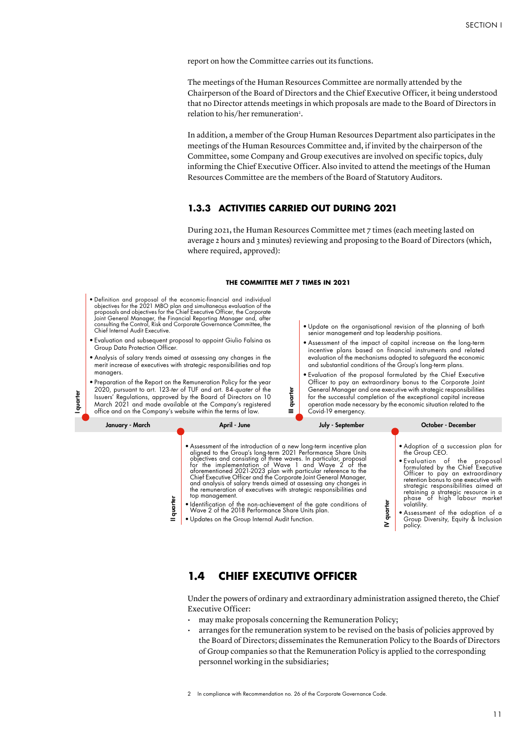report on how the Committee carries out its functions.

The meetings of the Human Resources Committee are normally attended by the Chairperson of the Board of Directors and the Chief Executive Officer, it being understood that no Director attends meetings in which proposals are made to the Board of Directors in relation to his/her remuneration<sup>2</sup>.

In addition, a member of the Group Human Resources Department also participates in the meetings of the Human Resources Committee and, if invited by the chairperson of the Committee, some Company and Group executives are involved on specific topics, duly informing the Chief Executive Officer. Also invited to attend the meetings of the Human Resources Committee are the members of the Board of Statutory Auditors.

### **1.3.3 ACTIVITIES CARRIED OUT DURING 2021**

During 2021, the Human Resources Committee met 7 times (each meeting lasted on average 2 hours and 3 minutes) reviewing and proposing to the Board of Directors (which, where required, approved):

### **THE COMMITTEE MET 7 TIMES IN 2021**

- Definition and proposal of the economic-financial and individual<br>objectives for the 2021 MBO plan and simultaneous evaluation of the<br>proposals and objectives for the Chief Executive Officer, the Corporate<br>Joint General M Chief Internal Audit Executive.
- Evaluation and subsequent proposal to appoint Giulio Falsina as Group Data Protection Officer.
- Analysis of salary trends aimed at assessing any changes in the merit increase of executives with strategic responsibilities and top managers.
- Preparation of the Report on the Remuneration Policy for the year 2020, pursuant to art. 123-*ter* of TUF and art. 84-*quater* of the Issuers' Regulations, approved by the Board of Directors on 10 March 2021 and made available at the Company's registered office and on the Company's website within the terms of law.

I quarter

- Update on the organisational revision of the planning of both senior management and top leadership positions.
- Assessment of the impact of capital increase on the long-term incentive plans based on financial instruments and related evaluation of the mechanisms adopted to safeguard the economic and substantial conditions of the Group's long-term plans.
- Evaluation of the proposal formulated by the Chief Executive Officer to pay an extraordinary bonus to the Corporate Joint General Manager and one executive with strategic responsibilities for the successful completion of the exceptional capital increase operation made necessary by the economic situation related to the



### **1.4 CHIEF EXECUTIVE OFFICER**

Under the powers of ordinary and extraordinary administration assigned thereto, the Chief Executive Officer:

- may make proposals concerning the Remuneration Policy;
- arranges for the remuneration system to be revised on the basis of policies approved by the Board of Directors; disseminates the Remuneration Policy to the Boards of Directors of Group companies so that the Remuneration Policy is applied to the corresponding personnel working in the subsidiaries;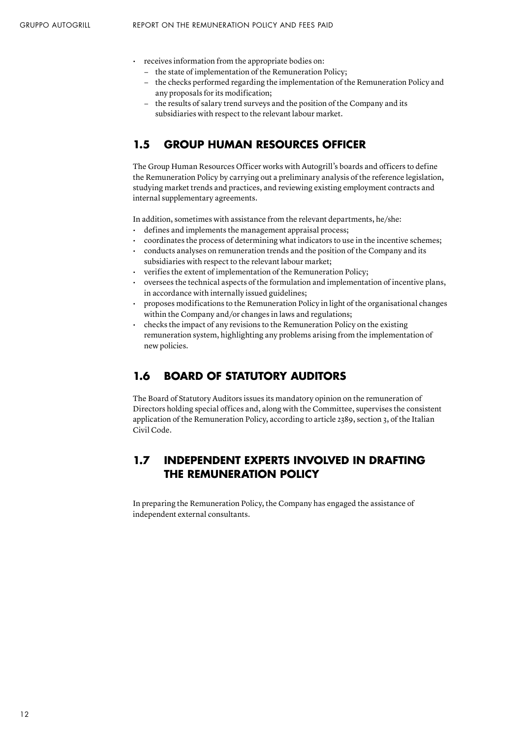- receives information from the appropriate bodies on:
	- − the state of implementation of the Remuneration Policy;
	- − the checks performed regarding the implementation of the Remuneration Policy and any proposals for its modification;
	- − the results of salary trend surveys and the position of the Company and its subsidiaries with respect to the relevant labour market.

### **1.5 GROUP HUMAN RESOURCES OFFICER**

The Group Human Resources Officer works with Autogrill's boards and officers to define the Remuneration Policy by carrying out a preliminary analysis of the reference legislation, studying market trends and practices, and reviewing existing employment contracts and internal supplementary agreements.

In addition, sometimes with assistance from the relevant departments, he/she:

- defines and implements the management appraisal process;
- coordinates the process of determining what indicators to use in the incentive schemes;
- conducts analyses on remuneration trends and the position of the Company and its subsidiaries with respect to the relevant labour market;
- verifies the extent of implementation of the Remuneration Policy;
- oversees the technical aspects of the formulation and implementation of incentive plans, in accordance with internally issued guidelines;
- proposes modifications to the Remuneration Policy in light of the organisational changes within the Company and/or changes in laws and regulations;
- checks the impact of any revisions to the Remuneration Policy on the existing remuneration system, highlighting any problems arising from the implementation of new policies.

### **1.6 BOARD OF STATUTORY AUDITORS**

The Board of Statutory Auditors issues its mandatory opinion on the remuneration of Directors holding special offices and, along with the Committee, supervises the consistent application of the Remuneration Policy, according to article 2389, section 3, of the Italian Civil Code.

### **1.7 INDEPENDENT EXPERTS INVOLVED IN DRAFTING THE REMUNERATION POLICY**

In preparing the Remuneration Policy, the Company has engaged the assistance of independent external consultants.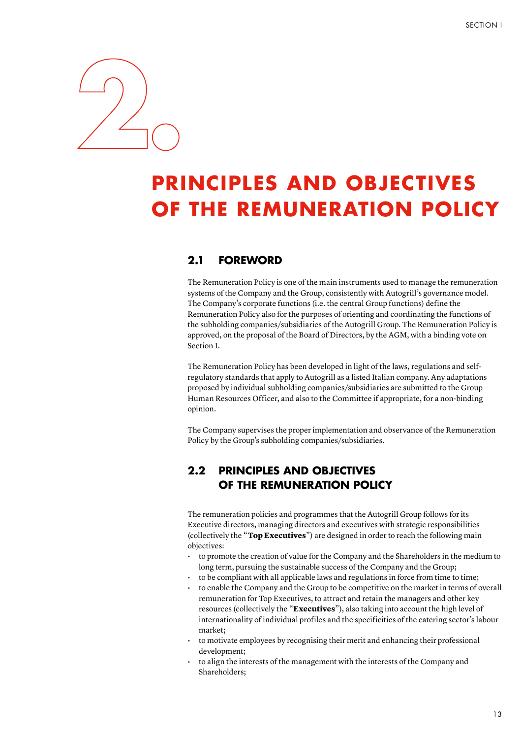

# **PRINCIPLES AND OBJECTIVES OF THE REMUNERATION POLICY**

### **2.1 FOREWORD**

The Remuneration Policy is one of the main instruments used to manage the remuneration systems of the Company and the Group, consistently with Autogrill's governance model. The Company's corporate functions (i.e. the central Group functions) define the Remuneration Policy also for the purposes of orienting and coordinating the functions of the subholding companies/subsidiaries of the Autogrill Group. The Remuneration Policy is approved, on the proposal of the Board of Directors, by the AGM, with a binding vote on Section I.

The Remuneration Policy has been developed in light of the laws, regulations and selfregulatory standards that apply to Autogrill as a listed Italian company. Any adaptations proposed by individual subholding companies/subsidiaries are submitted to the Group Human Resources Officer, and also to the Committee if appropriate, for a non-binding opinion.

The Company supervises the proper implementation and observance of the Remuneration Policy by the Group's subholding companies/subsidiaries.

### **2.2 PRINCIPLES AND OBJECTIVES OF THE REMUNERATION POLICY**

The remuneration policies and programmes that the Autogrill Group follows for its Executive directors, managing directors and executives with strategic responsibilities (collectively the "**Top Executives**") are designed in order to reach the following main objectives:

- to promote the creation of value for the Company and the Shareholders in the medium to long term, pursuing the sustainable success of the Company and the Group;
- to be compliant with all applicable laws and regulations in force from time to time;
- to enable the Company and the Group to be competitive on the market in terms of overall remuneration for Top Executives, to attract and retain the managers and other key resources (collectively the "**Executives**"), also taking into account the high level of internationality of individual profiles and the specificities of the catering sector's labour market;
- to motivate employees by recognising their merit and enhancing their professional development;
- to align the interests of the management with the interests of the Company and Shareholders;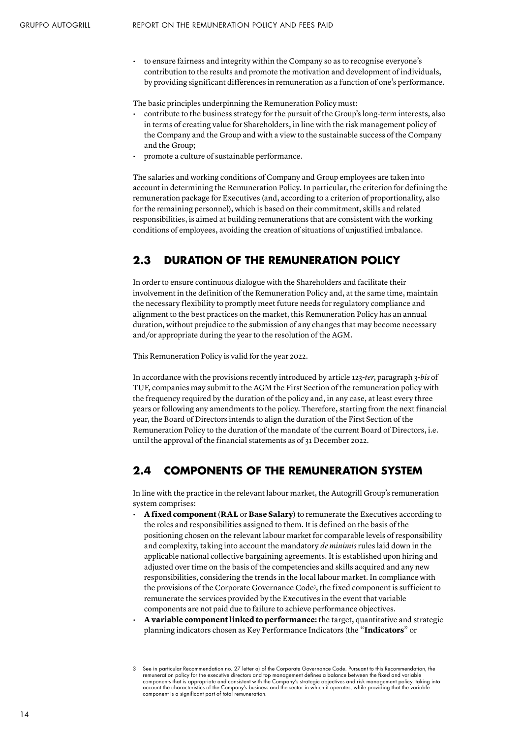• to ensure fairness and integrity within the Company so as to recognise everyone's contribution to the results and promote the motivation and development of individuals, by providing significant differences in remuneration as a function of one's performance.

The basic principles underpinning the Remuneration Policy must:

- contribute to the business strategy for the pursuit of the Group's long-term interests, also in terms of creating value for Shareholders, in line with the risk management policy of the Company and the Group and with a view to the sustainable success of the Company and the Group;
- promote a culture of sustainable performance.

The salaries and working conditions of Company and Group employees are taken into account in determining the Remuneration Policy. In particular, the criterion for defining the remuneration package for Executives (and, according to a criterion of proportionality, also for the remaining personnel), which is based on their commitment, skills and related responsibilities, is aimed at building remunerations that are consistent with the working conditions of employees, avoiding the creation of situations of unjustified imbalance.

### **2.3 DURATION OF THE REMUNERATION POLICY**

In order to ensure continuous dialogue with the Shareholders and facilitate their involvement in the definition of the Remuneration Policy and, at the same time, maintain the necessary flexibility to promptly meet future needs for regulatory compliance and alignment to the best practices on the market, this Remuneration Policy has an annual duration, without prejudice to the submission of any changes that may become necessary and/or appropriate during the year to the resolution of the AGM.

This Remuneration Policy is valid for the year 2022.

In accordance with the provisions recently introduced by article 123-*ter*, paragraph 3-*bis* of TUF, companies may submit to the AGM the First Section of the remuneration policy with the frequency required by the duration of the policy and, in any case, at least every three years or following any amendments to the policy. Therefore, starting from the next financial year, the Board of Directors intends to align the duration of the First Section of the Remuneration Policy to the duration of the mandate of the current Board of Directors, i.e. until the approval of the financial statements as of 31 December 2022.

### **2.4 COMPONENTS OF THE REMUNERATION SYSTEM**

In line with the practice in the relevant labour market, the Autogrill Group's remuneration system comprises:

- **A fixed component** (**RAL** or **Base Salary**) to remunerate the Executives according to the roles and responsibilities assigned to them. It is defined on the basis of the positioning chosen on the relevant labour market for comparable levels of responsibility and complexity, taking into account the mandatory *de minimis* rules laid down in the applicable national collective bargaining agreements. It is established upon hiring and adjusted over time on the basis of the competencies and skills acquired and any new responsibilities, considering the trends in the local labour market. In compliance with the provisions of the Corporate Governance Code3 , the fixed component is sufficient to remunerate the services provided by the Executives in the event that variable components are not paid due to failure to achieve performance objectives.
- **A variable component linked to performance:** the target, quantitative and strategic planning indicators chosen as Key Performance Indicators (the "**Indicators**" or

<sup>3</sup> See in particular Recommendation no. 27 letter a) of the Corporate Governance Code. Pursuant to this Recommendation, the remuneration policy for the executive directors and top management defines a balance between the fixed and variable remuneration policy for the executive directors and top management defines a balance between the fixed and components that is appropriate and consistent with the Company's strategic objectives and risk management policy, taking into<br>account the characteristics of the Company's business and the sector in which it operates, while component is a significant part of total remuneration.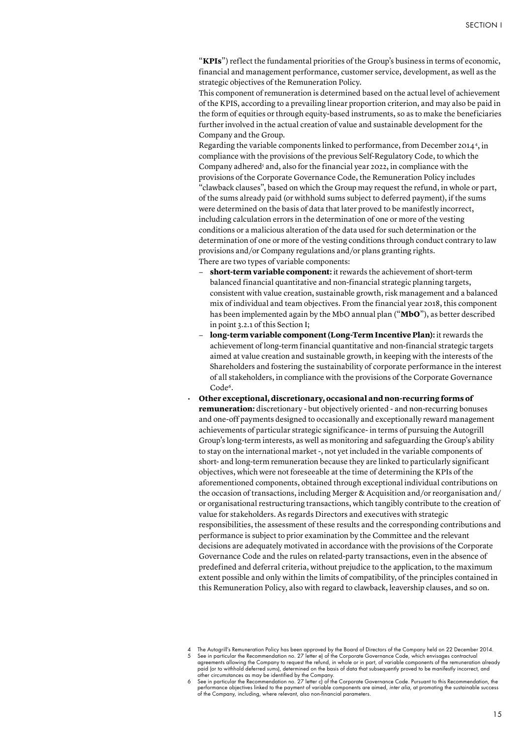"**KPIs**") reflect the fundamental priorities of the Group's business in terms of economic, financial and management performance, customer service, development, as well as the strategic objectives of the Remuneration Policy.

This component of remuneration is determined based on the actual level of achievement of the KPIS, according to a prevailing linear proportion criterion, and may also be paid in the form of equities or through equity-based instruments, so as to make the beneficiaries further involved in the actual creation of value and sustainable development for the Company and the Group.

Regarding the variable components linked to performance, from December 20144, in compliance with the provisions of the previous Self-Regulatory Code, to which the Company adhered<sup>5</sup> and, also for the financial year 2022, in compliance with the provisions of the Corporate Governance Code, the Remuneration Policy includes "clawback clauses", based on which the Group may request the refund, in whole or part, of the sums already paid (or withhold sums subject to deferred payment), if the sums were determined on the basis of data that later proved to be manifestly incorrect, including calculation errors in the determination of one or more of the vesting conditions or a malicious alteration of the data used for such determination or the determination of one or more of the vesting conditions through conduct contrary to law provisions and/or Company regulations and/or plans granting rights. There are two types of variable components:

- − **short-term variable component:** it rewards the achievement of short-term balanced financial quantitative and non-financial strategic planning targets, consistent with value creation, sustainable growth, risk management and a balanced mix of individual and team objectives. From the financial year 2018, this component has been implemented again by the MbO annual plan ("**MbO**"), as better described in point 3.2.1 of this Section I;
- **long-term variable component (Long-Term Incentive Plan):** it rewards the achievement of long-term financial quantitative and non-financial strategic targets aimed at value creation and sustainable growth, in keeping with the interests of the Shareholders and fostering the sustainability of corporate performance in the interest of all stakeholders, in compliance with the provisions of the Corporate Governance Code<sup>6</sup>.
- **Other exceptional, discretionary, occasional and non-recurring forms of remuneration:** discretionary - but objectively oriented - and non-recurring bonuses and one-off payments designed to occasionally and exceptionally reward management achievements of particular strategic significance- in terms of pursuing the Autogrill Group's long-term interests, as well as monitoring and safeguarding the Group's ability to stay on the international market -, not yet included in the variable components of short- and long-term remuneration because they are linked to particularly significant objectives, which were not foreseeable at the time of determining the KPIs of the aforementioned components, obtained through exceptional individual contributions on the occasion of transactions, including Merger & Acquisition and/or reorganisation and/ or organisational restructuring transactions, which tangibly contribute to the creation of value for stakeholders. As regards Directors and executives with strategic responsibilities, the assessment of these results and the corresponding contributions and performance is subject to prior examination by the Committee and the relevant decisions are adequately motivated in accordance with the provisions of the Corporate Governance Code and the rules on related-party transactions, even in the absence of predefined and deferral criteria, without prejudice to the application, to the maximum extent possible and only within the limits of compatibility, of the principles contained in this Remuneration Policy, also with regard to clawback, leavership clauses, and so on.

<sup>4</sup> The Autogrill's Remuneration Policy has been approved by the Board of Directors of the Company held on 22 December 2014.<br>5 See in particular the Recommendation no. 27 letter el of the Corporate Governance Code, which env

See in particular the Recommendation no. 27 letter e) of the Corporate Governance Code, which envisages contractual<br>agreements allowing the Company to request the refund, in whole or in part, of variable components of the other circumstances as may be identified by the Company.

<sup>6</sup> See in particular the Recommendation no. 27 letter c) of the Corporate Governance Code. Pursuant to this Recommendation, the<br>performance objectives linked to the payment of variable components are aimed, *inter alia*, at of the Company, including, where relevant, also non-financial parameters.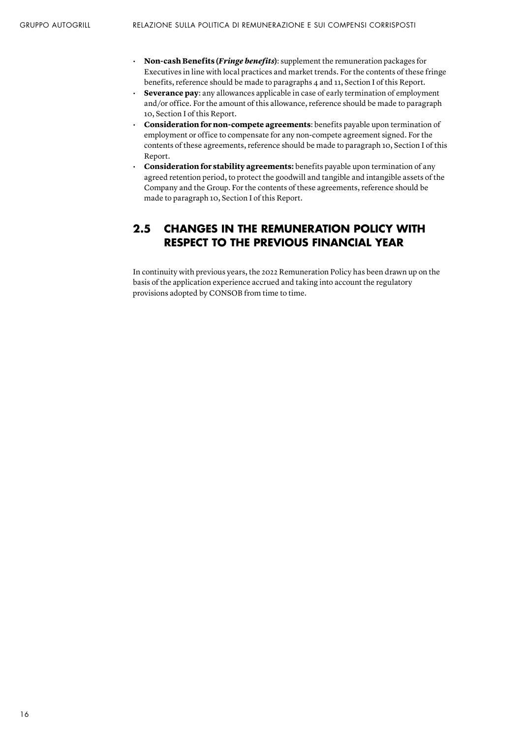- **Non-cash Benefits (***Fringe benefits***)**: supplement the remuneration packages for Executives in line with local practices and market trends. For the contents of these fringe benefits, reference should be made to paragraphs 4 and 11, Section I of this Report.
- **Severance pay:** any allowances applicable in case of early termination of employment and/or office. For the amount of this allowance, reference should be made to paragraph 10, Section I of this Report.
- **Consideration for non-compete agreements**: benefits payable upon termination of employment or office to compensate for any non-compete agreement signed. For the contents of these agreements, reference should be made to paragraph 10, Section I of this Report.
- **Consideration for stability agreements:** benefits payable upon termination of any agreed retention period, to protect the goodwill and tangible and intangible assets of the Company and the Group. For the contents of these agreements, reference should be made to paragraph 10, Section I of this Report.

### **2.5 CHANGES IN THE REMUNERATION POLICY WITH RESPECT TO THE PREVIOUS FINANCIAL YEAR**

In continuity with previous years, the 2022 Remuneration Policy has been drawn up on the basis of the application experience accrued and taking into account the regulatory provisions adopted by CONSOB from time to time.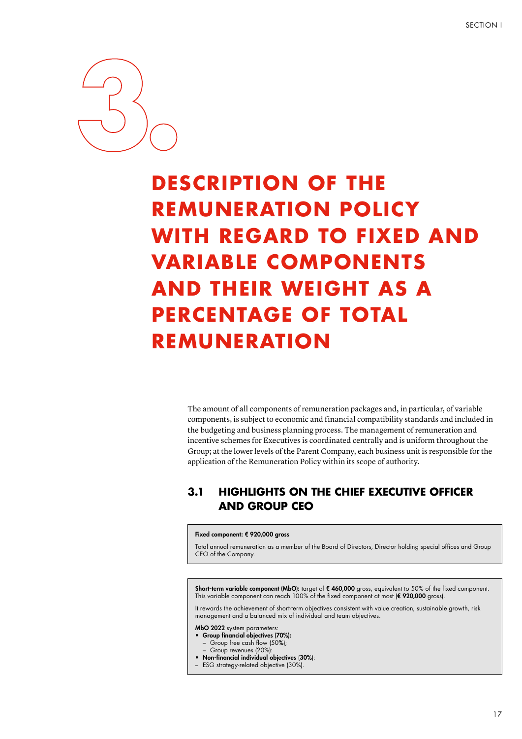

# **DESCRIPTION OF THE REMUNERATION POLICY WITH REGARD TO FIXED AND VARIABLE COMPONENTS AND THEIR WEIGHT AS A PERCENTAGE OF TOTAL REMUNERATION**

The amount of all components of remuneration packages and, in particular, of variable components, is subject to economic and financial compatibility standards and included in the budgeting and business planning process. The management of remuneration and incentive schemes for Executives is coordinated centrally and is uniform throughout the Group; at the lower levels of the Parent Company, each business unit is responsible for the application of the Remuneration Policy within its scope of authority.

### **3.1 HIGHLIGHTS ON THE CHIEF EXECUTIVE OFFICER AND GROUP CEO**

### Fixed component: € 920,000 gross

Total annual remuneration as a member of the Board of Directors, Director holding special offices and Group CEO of the Company.

Short-term variable component (MbO): target of € 460,000 gross, equivalent to 50% of the fixed component. This variable component can reach 100% of the fixed component at most (€ 920,000 gross).

It rewards the achievement of short-term objectives consistent with value creation, sustainable growth, risk management and a balanced mix of individual and team objectives.

### MbO 2022 system parameters:

- Group financial objectives (70%):
	- Group free cash flow (50%);
	- Group revenues (20%):
- Non-financial individual objectives (30%):
- ESG strategy-related objective (30%).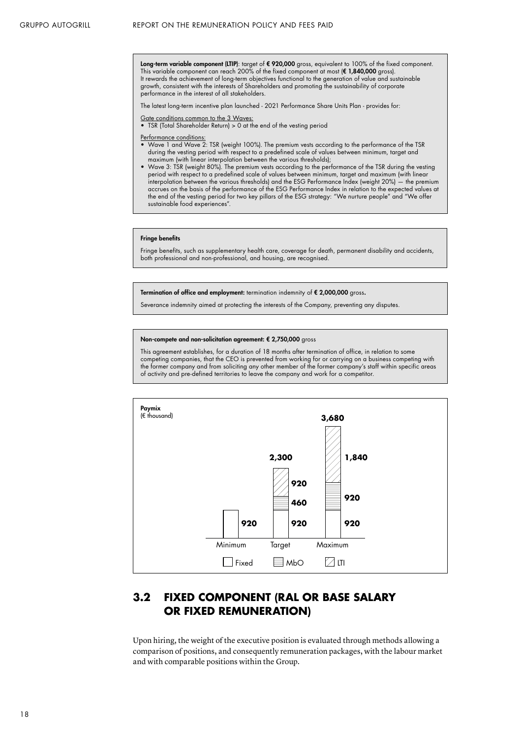Long-term variable component (LTIP): target of € 920,000 gross, equivalent to 100% of the fixed component. This variable component can reach 200% of the fixed component at most (€ 1,840,000 gross). It rewards the achievement of long-term objectives functional to the generation of value and sustainable growth, consistent with the interests of Shareholders and promoting the sustainability of corporate performance in the interest of all stakeholders.

The latest long-term incentive plan launched - 2021 Performance Share Units Plan - provides for:

Gate conditions common to the 3 Waves:

• TSR (Total Shareholder Return) > 0 at the end of the vesting period

### Performance conditions:

- Wave 1 and Wave 2: TSR (weight 100%). The premium vests according to the performance of the TSR during the vesting period with respect to a predefined scale of values between minimum, target and maximum (with linear interpolation between the various thresholds);
- Wave 3: TSR (weight 80%). The premium vests according to the performance of the TSR during the vesting period with respect to a predefined scale of values between minimum, target and maximum (with linear interpolation between the various thresholds) and the ESG Performance Index (weight 20%) — the premium accrues on the basis of the performance of the ESG Performance Index in relation to the expected values at the end of the vesting period for two key pillars of the ESG strategy: "We nurture people" and "We offer sustainable food experiences".

### Fringe benefits

Fringe benefits, such as supplementary health care, coverage for death, permanent disability and accidents, both professional and non-professional, and housing, are recognised.

Termination of office and employment: termination indemnity of € 2,000,000 gross.

Severance indemnity aimed at protecting the interests of the Company, preventing any disputes.

### Non-compete and non-solicitation agreement: € 2,750,000 gross

This agreement establishes, for a duration of 18 months after termination of office, in relation to some competing companies, that the CEO is prevented from working for or carrying on a business competing with the former company and from soliciting any other member of the former company's staff within specific areas of activity and pre-defined territories to leave the company and work for a competitor.



### **3.2 FIXED COMPONENT (RAL OR BASE SALARY OR FIXED REMUNERATION)**

Upon hiring, the weight of the executive position is evaluated through methods allowing a comparison of positions, and consequently remuneration packages, with the labour market and with comparable positions within the Group.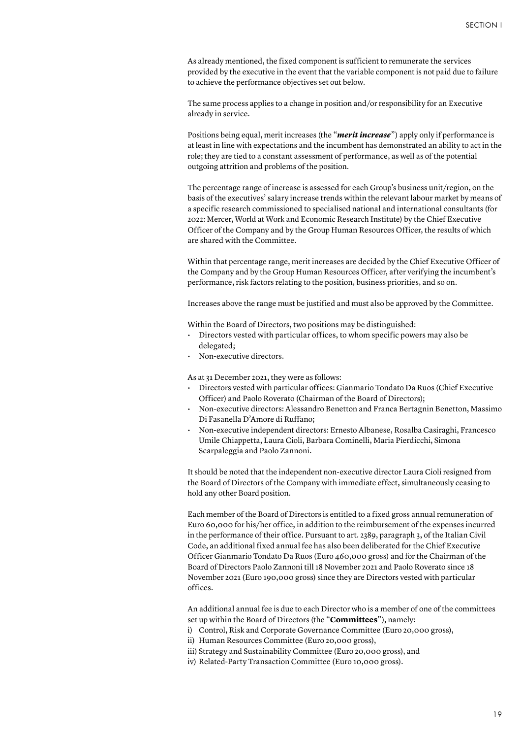As already mentioned, the fixed component is sufficient to remunerate the services provided by the executive in the event that the variable component is not paid due to failure to achieve the performance objectives set out below.

The same process applies to a change in position and/or responsibility for an Executive already in service.

Positions being equal, merit increases (the "*merit increase*") apply only if performance is at least in line with expectations and the incumbent has demonstrated an ability to act in the role; they are tied to a constant assessment of performance, as well as of the potential outgoing attrition and problems of the position.

The percentage range of increase is assessed for each Group's business unit/region, on the basis of the executives' salary increase trends within the relevant labour market by means of a specific research commissioned to specialised national and international consultants (for 2022: Mercer, World at Work and Economic Research Institute) by the Chief Executive Officer of the Company and by the Group Human Resources Officer, the results of which are shared with the Committee.

Within that percentage range, merit increases are decided by the Chief Executive Officer of the Company and by the Group Human Resources Officer, after verifying the incumbent's performance, risk factors relating to the position, business priorities, and so on.

Increases above the range must be justified and must also be approved by the Committee.

Within the Board of Directors, two positions may be distinguished:

- Directors vested with particular offices, to whom specific powers may also be delegated;
- Non-executive directors.

As at 31 December 2021, they were as follows:

- Directors vested with particular offices: Gianmario Tondato Da Ruos (Chief Executive Officer) and Paolo Roverato (Chairman of the Board of Directors);
- Non-executive directors: Alessandro Benetton and Franca Bertagnin Benetton, Massimo Di Fasanella D'Amore di Ruffano;
- Non-executive independent directors: Ernesto Albanese, Rosalba Casiraghi, Francesco Umile Chiappetta, Laura Cioli, Barbara Cominelli, Maria Pierdicchi, Simona Scarpaleggia and Paolo Zannoni.

It should be noted that the independent non-executive director Laura Cioli resigned from the Board of Directors of the Company with immediate effect, simultaneously ceasing to hold any other Board position.

Each member of the Board of Directors is entitled to a fixed gross annual remuneration of Euro 60,000 for his/her office, in addition to the reimbursement of the expenses incurred in the performance of their office. Pursuant to art. 2389, paragraph 3, of the Italian Civil Code, an additional fixed annual fee has also been deliberated for the Chief Executive Officer Gianmario Tondato Da Ruos (Euro 460,000 gross) and for the Chairman of the Board of Directors Paolo Zannoni till 18 November 2021 and Paolo Roverato since 18 November 2021 (Euro 190,000 gross) since they are Directors vested with particular offices.

An additional annual fee is due to each Director who is a member of one of the committees set up within the Board of Directors (the "**Committees**"), namely:

- i) Control, Risk and Corporate Governance Committee (Euro 20,000 gross),
- ii) Human Resources Committee (Euro 20,000 gross),
- iii) Strategy and Sustainability Committee (Euro 20,000 gross), and
- iv) Related-Party Transaction Committee (Euro 10,000 gross).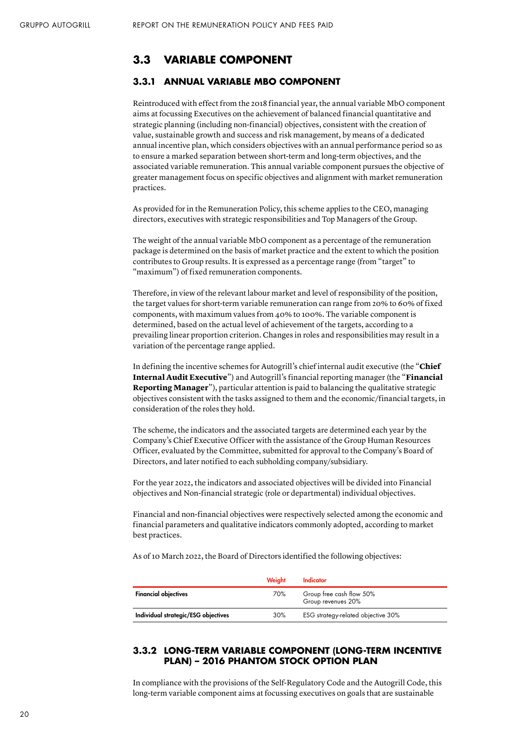### **3.3 VARIABLE COMPONENT**

### **3.3.1 ANNUAL VARIABLE MBO COMPONENT**

Reintroduced with effect from the 2018 financial year, the annual variable MbO component aims at focussing Executives on the achievement of balanced financial quantitative and strategic planning (including non-financial) objectives, consistent with the creation of value, sustainable growth and success and risk management, by means of a dedicated annual incentive plan, which considers objectives with an annual performance period so as to ensure a marked separation between short-term and long-term objectives, and the associated variable remuneration. This annual variable component pursues the objective of greater management focus on specific objectives and alignment with market remuneration practices.

As provided for in the Remuneration Policy, this scheme applies to the CEO, managing directors, executives with strategic responsibilities and Top Managers of the Group.

The weight of the annual variable MbO component as a percentage of the remuneration package is determined on the basis of market practice and the extent to which the position contributes to Group results. It is expressed as a percentage range (from "target" to "maximum") of fixed remuneration components.

Therefore, in view of the relevant labour market and level of responsibility of the position, the target values for short-term variable remuneration can range from 20% to 60% of fixed components, with maximum values from 40% to 100%. The variable component is determined, based on the actual level of achievement of the targets, according to a prevailing linear proportion criterion. Changes in roles and responsibilities may result in a variation of the percentage range applied.

In defining the incentive schemes for Autogrill's chief internal audit executive (the "**Chief Internal Audit Executive**") and Autogrill's financial reporting manager (the "**Financial Reporting Manager**"), particular attention is paid to balancing the qualitative strategic objectives consistent with the tasks assigned to them and the economic/financial targets, in consideration of the roles they hold.

The scheme, the indicators and the associated targets are determined each year by the Company's Chief Executive Officer with the assistance of the Group Human Resources Officer, evaluated by the Committee, submitted for approval to the Company's Board of Directors, and later notified to each subholding company/subsidiary.

For the year 2022, the indicators and associated objectives will be divided into Financial objectives and Non-financial strategic (role or departmental) individual objectives.

Financial and non-financial objectives were respectively selected among the economic and financial parameters and qualitative indicators commonly adopted, according to market best practices.

As of 10 March 2022, the Board of Directors identified the following objectives:

|                                     | Weight | Indicator                                      |
|-------------------------------------|--------|------------------------------------------------|
| <b>Financial objectives</b>         | 70%    | Group free cash flow 50%<br>Group revenues 20% |
| Individual strategic/ESG objectives | 30%    | <b>ESG</b> strategy-related objective 30%      |

### **3.3.2 LONG-TERM VARIABLE COMPONENT (LONG-TERM INCENTIVE PLAN) – 2016 PHANTOM STOCK OPTION PLAN**

In compliance with the provisions of the Self-Regulatory Code and the Autogrill Code, this long-term variable component aims at focussing executives on goals that are sustainable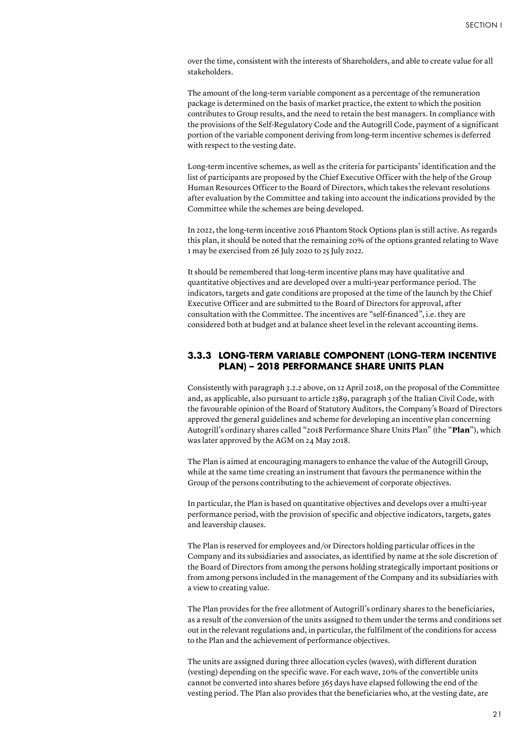over the time, consistent with the interests of Shareholders, and able to create value for all stakeholders.

The amount of the long-term variable component as a percentage of the remuneration package is determined on the basis of market practice, the extent to which the position contributes to Group results, and the need to retain the best managers. In compliance with the provisions of the Self-Regulatory Code and the Autogrill Code, payment of a significant portion of the variable component deriving from long-term incentive schemes is deferred with respect to the vesting date.

Long-term incentive schemes, as well as the criteria for participants' identification and the list of participants are proposed by the Chief Executive Officer with the help of the Group Human Resources Officer to the Board of Directors, which takes the relevant resolutions after evaluation by the Committee and taking into account the indications provided by the Committee while the schemes are being developed.

In 2022, the long-term incentive 2016 Phantom Stock Options plan is still active. As regards this plan, it should be noted that the remaining 20% of the options granted relating to Wave 1 may be exercised from 26 July 2020 to 25 July 2022.

It should be remembered that long-term incentive plans may have qualitative and quantitative objectives and are developed over a multi-year performance period. The indicators, targets and gate conditions are proposed at the time of the launch by the Chief Executive Officer and are submitted to the Board of Directors for approval, after consultation with the Committee. The incentives are "self-financed", i.e. they are considered both at budget and at balance sheet level in the relevant accounting items.

### **3.3.3 LONG-TERM VARIABLE COMPONENT (LONG-TERM INCENTIVE PLAN) – 2018 PERFORMANCE SHARE UNITS PLAN**

Consistently with paragraph 3.2.2 above, on 12 April 2018, on the proposal of the Committee and, as applicable, also pursuant to article 2389, paragraph 3 of the Italian Civil Code, with the favourable opinion of the Board of Statutory Auditors, the Company's Board of Directors approved the general guidelines and scheme for developing an incentive plan concerning Autogrill's ordinary shares called "2018 Performance Share Units Plan" (the "**Plan**"), which was later approved by the AGM on 24 May 2018.

The Plan is aimed at encouraging managers to enhance the value of the Autogrill Group, while at the same time creating an instrument that favours the permanence within the Group of the persons contributing to the achievement of corporate objectives.

In particular, the Plan is based on quantitative objectives and develops over a multi-year performance period, with the provision of specific and objective indicators, targets, gates and leavership clauses.

The Plan is reserved for employees and/or Directors holding particular offices in the Company and its subsidiaries and associates, as identified by name at the sole discretion of the Board of Directors from among the persons holding strategically important positions or from among persons included in the management of the Company and its subsidiaries with a view to creating value.

The Plan provides for the free allotment of Autogrill's ordinary shares to the beneficiaries, as a result of the conversion of the units assigned to them under the terms and conditions set out in the relevant regulations and, in particular, the fulfilment of the conditions for access to the Plan and the achievement of performance objectives.

The units are assigned during three allocation cycles (waves), with different duration (vesting) depending on the specific wave. For each wave, 20% of the convertible units cannot be converted into shares before 365 days have elapsed following the end of the vesting period. The Plan also provides that the beneficiaries who, at the vesting date, are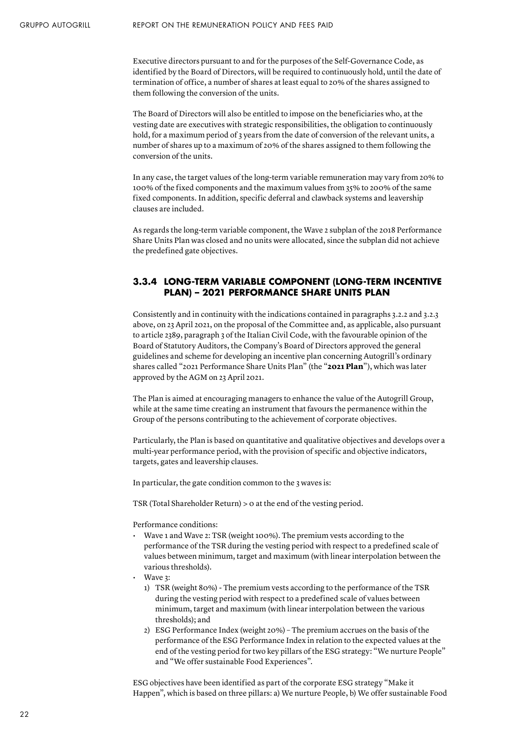Executive directors pursuant to and for the purposes of the Self-Governance Code, as identified by the Board of Directors, will be required to continuously hold, until the date of termination of office, a number of shares at least equal to 20% of the shares assigned to them following the conversion of the units.

The Board of Directors will also be entitled to impose on the beneficiaries who, at the vesting date are executives with strategic responsibilities, the obligation to continuously hold, for a maximum period of 3 years from the date of conversion of the relevant units, a number of shares up to a maximum of 20% of the shares assigned to them following the conversion of the units.

In any case, the target values of the long-term variable remuneration may vary from 20% to 100% of the fixed components and the maximum values from 35% to 200% of the same fixed components. In addition, specific deferral and clawback systems and leavership clauses are included.

As regards the long-term variable component, the Wave 2 subplan of the 2018 Performance Share Units Plan was closed and no units were allocated, since the subplan did not achieve the predefined gate objectives.

### **3.3.4 LONG-TERM VARIABLE COMPONENT (LONG-TERM INCENTIVE PLAN) – 2021 PERFORMANCE SHARE UNITS PLAN**

Consistently and in continuity with the indications contained in paragraphs 3.2.2 and 3.2.3 above, on 23 April 2021, on the proposal of the Committee and, as applicable, also pursuant to article 2389, paragraph 3 of the Italian Civil Code, with the favourable opinion of the Board of Statutory Auditors, the Company's Board of Directors approved the general guidelines and scheme for developing an incentive plan concerning Autogrill's ordinary shares called "2021 Performance Share Units Plan" (the "**2021 Plan**"), which was later approved by the AGM on 23 April 2021.

The Plan is aimed at encouraging managers to enhance the value of the Autogrill Group, while at the same time creating an instrument that favours the permanence within the Group of the persons contributing to the achievement of corporate objectives.

Particularly, the Plan is based on quantitative and qualitative objectives and develops over a multi-year performance period, with the provision of specific and objective indicators, targets, gates and leavership clauses.

In particular, the gate condition common to the 3 waves is:

TSR (Total Shareholder Return) > 0 at the end of the vesting period.

Performance conditions:

- Wave 1 and Wave 2: TSR (weight 100%). The premium vests according to the performance of the TSR during the vesting period with respect to a predefined scale of values between minimum, target and maximum (with linear interpolation between the various thresholds).
- Wave 3:
	- 1) TSR (weight 80%) The premium vests according to the performance of the TSR during the vesting period with respect to a predefined scale of values between minimum, target and maximum (with linear interpolation between the various thresholds); and
	- 2) ESG Performance Index (weight 20%) The premium accrues on the basis of the performance of the ESG Performance Index in relation to the expected values at the end of the vesting period for two key pillars of the ESG strategy: "We nurture People" and "We offer sustainable Food Experiences".

ESG objectives have been identified as part of the corporate ESG strategy "Make it Happen", which is based on three pillars: a) We nurture People, b) We offer sustainable Food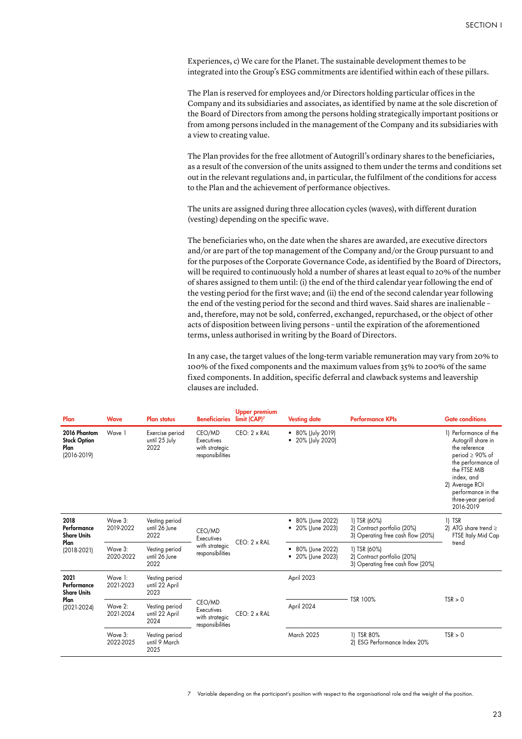Experiences, c) We care for the Planet. The sustainable development themes to be integrated into the Group's ESG commitments are identified within each of these pillars.

The Plan is reserved for employees and/or Directors holding particular offices in the Company and its subsidiaries and associates, as identified by name at the sole discretion of the Board of Directors from among the persons holding strategically important positions or from among persons included in the management of the Company and its subsidiaries with a view to creating value.

The Plan provides for the free allotment of Autogrill's ordinary shares to the beneficiaries, as a result of the conversion of the units assigned to them under the terms and conditions set out in the relevant regulations and, in particular, the fulfilment of the conditions for access to the Plan and the achievement of performance objectives.

The units are assigned during three allocation cycles (waves), with different duration (vesting) depending on the specific wave.

The beneficiaries who, on the date when the shares are awarded, are executive directors and/or are part of the top management of the Company and/or the Group pursuant to and for the purposes of the Corporate Governance Code, as identified by the Board of Directors, will be required to continuously hold a number of shares at least equal to 20% of the number of shares assigned to them until: (i) the end of the third calendar year following the end of the vesting period for the first wave; and (ii) the end of the second calendar year following the end of the vesting period for the second and third waves. Said shares are inalienable – and, therefore, may not be sold, conferred, exchanged, repurchased, or the object of other acts of disposition between living persons – until the expiration of the aforementioned terms, unless authorised in writing by the Board of Directors.

In any case, the target values of the long-term variable remuneration may vary from 20% to 100% of the fixed components and the maximum values from 35% to 200% of the same fixed components. In addition, specific deferral and clawback systems and leavership clauses are included.

| Plan                                                           | <b>Wave</b>          | <b>Plan status</b>                       | <b>Beneficiaries</b>                                       | <b>Upper premium</b><br>limit (CAP) <sup>7</sup> | <b>Vesting date</b>                    | <b>Performance KPIs</b>                                                          | <b>Gate conditions</b>                                                                                                                                                                                             |                                                          |
|----------------------------------------------------------------|----------------------|------------------------------------------|------------------------------------------------------------|--------------------------------------------------|----------------------------------------|----------------------------------------------------------------------------------|--------------------------------------------------------------------------------------------------------------------------------------------------------------------------------------------------------------------|----------------------------------------------------------|
| 2016 Phantom<br><b>Stock Option</b><br>Plan<br>$(2016 - 2019)$ | Wave 1               | Exercise period<br>until 25 July<br>2022 | CEO/MD<br>Executives<br>with strategic<br>responsibilities | $CEO: 2 \times RAL$                              | • 80% (July 2019)<br>• 20% (July 2020) |                                                                                  | 1) Performance of the<br>Autogrill share in<br>the reference<br>period $\geq$ 90% of<br>the performance of<br>the FTSE MIB<br>index, and<br>2) Average ROI<br>performance in the<br>three-year period<br>2016-2019 |                                                          |
| 2018<br>Performance<br><b>Share Units</b><br>Plan              | Wave 3:<br>2019-2022 | Vesting period<br>until 26 June<br>2022  | CEO/MD<br>Executives                                       |                                                  | CEO: 2 x RAL                           | 80% (June 2022)<br>٠<br>• 20% (June 2023)                                        | 1) TSR (60%)<br>2) Contract portfolio (20%)<br>3) Operating free cash flow (20%)                                                                                                                                   | 1) TSR<br>2) ATG share trend $\ge$<br>FTSE Italy Mid Cap |
| $(2018-2021)$                                                  | Wave 3:<br>2020-2022 | Vesting period<br>until 26 June<br>2022  | with strategic<br>responsibilities                         |                                                  | • 80% (June 2022)<br>20% (June 2023)   | 1) TSR (60%)<br>2) Contract portfolio (20%)<br>3) Operating free cash flow (20%) | trend                                                                                                                                                                                                              |                                                          |
| 2021<br>Performance<br><b>Share Units</b>                      | Wave 1:<br>2021-2023 | Vesting period<br>until 22 April<br>2023 |                                                            |                                                  | April 2023                             |                                                                                  |                                                                                                                                                                                                                    |                                                          |
| Plan<br>(2021-2024)                                            | Wave 2:<br>2021-2024 | Vesting period<br>until 22 April<br>2024 | CEO/MD<br>Executives<br>with strategic<br>responsibilities | CEO: 2 x RAL                                     | April 2024                             | <b>TSR 100%</b>                                                                  | TSR > 0                                                                                                                                                                                                            |                                                          |
|                                                                | Wave 3:<br>2022-2025 | Vesting period<br>until 9 March<br>2025  |                                                            |                                                  | <b>March 2025</b>                      | 1) TSR 80%<br>2) ESG Performance Index 20%                                       | TSR > 0                                                                                                                                                                                                            |                                                          |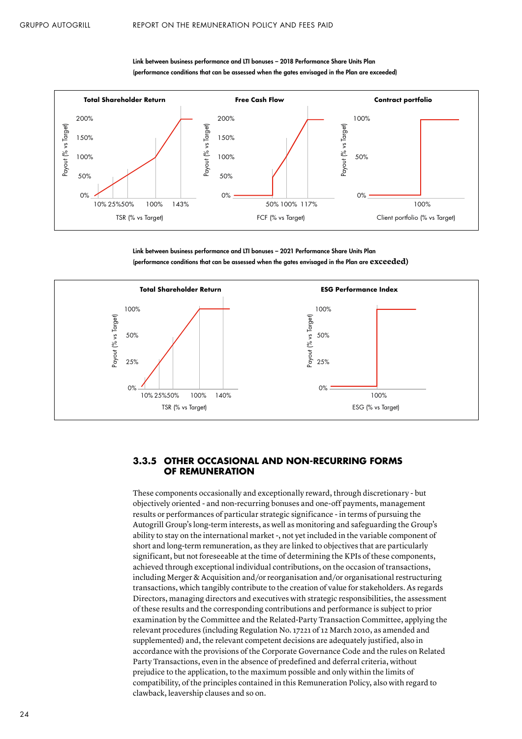$0%$ 

10% 50% 100% 143% TSR (% vs Target)

0%



Link between business performance and LTI bonuses – 2018 Performance Share Units Plan (performance conditions that can be assessed when the gates envisaged in the Plan are exceeded)

Link between business performance and LTI bonuses – 2021 Performance Share Units Plan (performance conditions that can be assessed when the gates envisaged in the Plan are **exceeded)**

0%

FCF (% vs Target) Client portfolio (% vs Target)



### **3.3.5 OTHER OCCASIONAL AND NON-RECURRING FORMS OF REMUNERATION**

These components occasionally and exceptionally reward, through discretionary - but objectively oriented - and non-recurring bonuses and one-off payments, management results or performances of particular strategic significance - in terms of pursuing the Autogrill Group's long-term interests, as well as monitoring and safeguarding the Group's ability to stay on the international market -, not yet included in the variable component of short and long-term remuneration, as they are linked to objectives that are particularly significant, but not foreseeable at the time of determining the KPIs of these components, achieved through exceptional individual contributions, on the occasion of transactions, including Merger & Acquisition and/or reorganisation and/or organisational restructuring transactions, which tangibly contribute to the creation of value for stakeholders. As regards Directors, managing directors and executives with strategic responsibilities, the assessment of these results and the corresponding contributions and performance is subject to prior examination by the Committee and the Related-Party Transaction Committee, applying the relevant procedures (including Regulation No. 17221 of 12 March 2010, as amended and supplemented) and, the relevant competent decisions are adequately justified, also in accordance with the provisions of the Corporate Governance Code and the rules on Related Party Transactions, even in the absence of predefined and deferral criteria, without prejudice to the application, to the maximum possible and only within the limits of compatibility, of the principles contained in this Remuneration Policy, also with regard to clawback, leavership clauses and so on.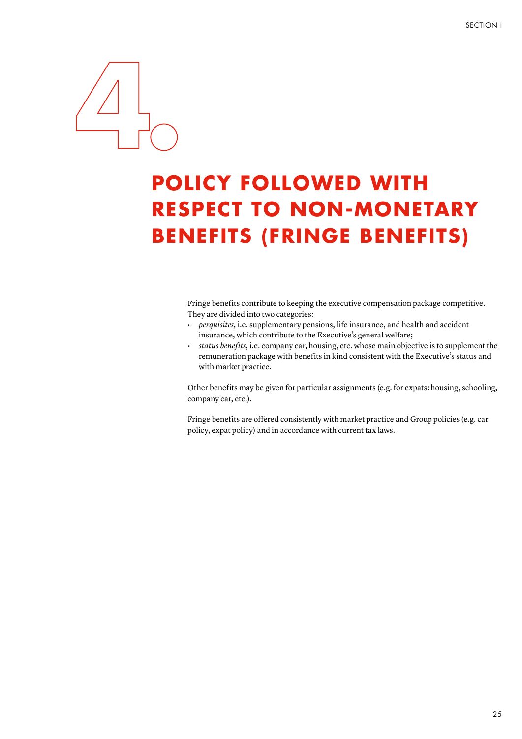**4.**

# **POLICY FOLLOWED WITH RESPECT TO NON-MONETARY BENEFITS (FRINGE BENEFITS)**

Fringe benefits contribute to keeping the executive compensation package competitive. They are divided into two categories:

- *perquisites,* i.e. supplementary pensions, life insurance, and health and accident insurance, which contribute to the Executive's general welfare;
- *status benefits*, i.e. company car, housing, etc. whose main objective is to supplement the remuneration package with benefits in kind consistent with the Executive's status and with market practice*.*

Other benefits may be given for particular assignments (e.g. for expats: housing, schooling, company car, etc.).

Fringe benefits are offered consistently with market practice and Group policies (e.g. car policy, expat policy) and in accordance with current tax laws.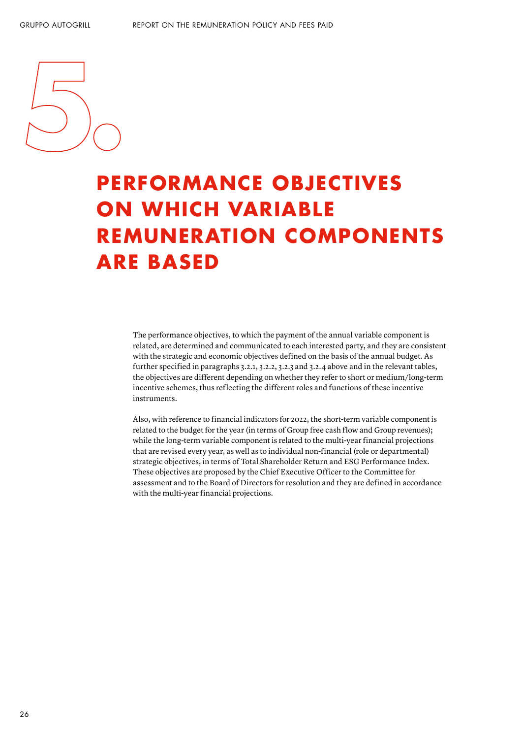

# **PERFORMANCE OBJECTIVES ON WHICH VARIABLE REMUNERATION COMPONENTS ARE BASED**

The performance objectives, to which the payment of the annual variable component is related, are determined and communicated to each interested party, and they are consistent with the strategic and economic objectives defined on the basis of the annual budget. As further specified in paragraphs 3.2.1, 3.2.2, 3.2.3 and 3.2.4 above and in the relevant tables, the objectives are different depending on whether they refer to short or medium/long-term incentive schemes, thus reflecting the different roles and functions of these incentive instruments.

Also, with reference to financial indicators for 2022, the short-term variable component is related to the budget for the year (in terms of Group free cash flow and Group revenues); while the long-term variable component is related to the multi-year financial projections that are revised every year, as well as to individual non-financial (role or departmental) strategic objectives, in terms of Total Shareholder Return and ESG Performance Index. These objectives are proposed by the Chief Executive Officer to the Committee for assessment and to the Board of Directors for resolution and they are defined in accordance with the multi-year financial projections.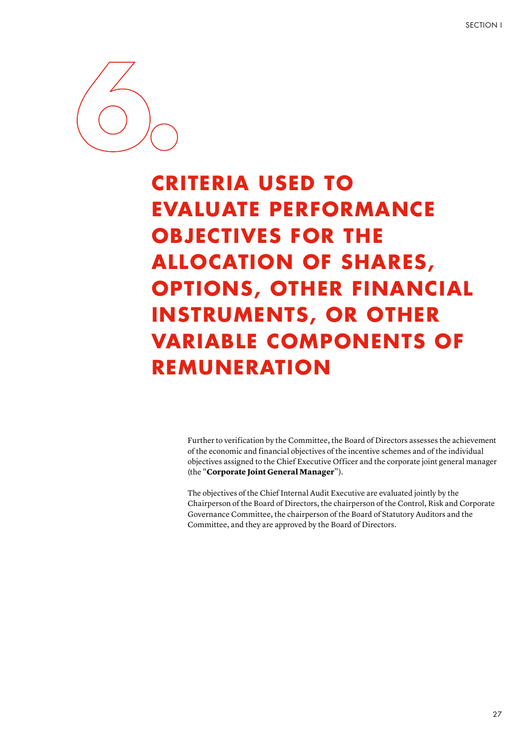

**CRITERIA USED TO EVALUATE PERFORMANCE OBJECTIVES FOR THE ALLOCATION OF SHARES, OPTIONS, OTHER FINANCIAL INSTRUMENTS, OR OTHER VARIABLE COMPONENTS OF REMUNERATION**

> Further to verification by the Committee, the Board of Directors assesses the achievement of the economic and financial objectives of the incentive schemes and of the individual objectives assigned to the Chief Executive Officer and the corporate joint general manager (the "**Corporate Joint General Manager**").

> The objectives of the Chief Internal Audit Executive are evaluated jointly by the Chairperson of the Board of Directors, the chairperson of the Control, Risk and Corporate Governance Committee, the chairperson of the Board of Statutory Auditors and the Committee, and they are approved by the Board of Directors.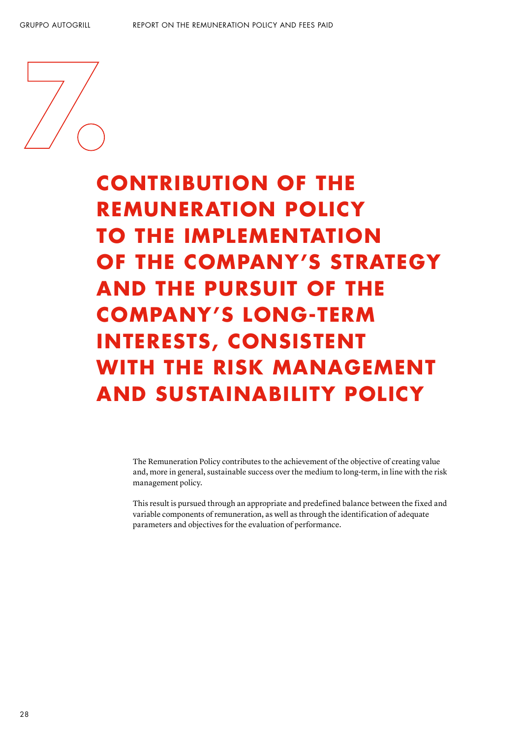

**CONTRIBUTION OF THE REMUNERATION POLICY TO THE IMPLEMENTATION OF THE COMPANY'S STRATEGY AND THE PURSUIT OF THE COMPANY'S LONG-TERM INTERESTS, CONSISTENT**  WITH THE RISK MANAGEMENT **AND SUSTAINABILITY POLICY**

> The Remuneration Policy contributes to the achievement of the objective of creating value and, more in general, sustainable success over the medium to long-term, in line with the risk management policy.

> This result is pursued through an appropriate and predefined balance between the fixed and variable components of remuneration, as well as through the identification of adequate parameters and objectives for the evaluation of performance.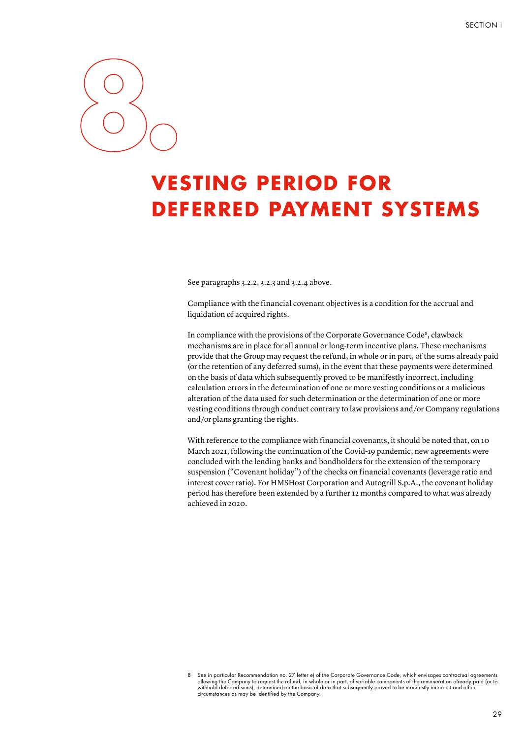

# **VESTING PERIOD FOR DEFERRED PAYMENT SYSTEMS**

See paragraphs 3.2.2, 3.2.3 and 3.2.4 above.

Compliance with the financial covenant objectives is a condition for the accrual and liquidation of acquired rights.

In compliance with the provisions of the Corporate Governance Code<sup>8</sup>, clawback mechanisms are in place for all annual or long-term incentive plans. These mechanisms provide that the Group may request the refund, in whole or in part, of the sums already paid (or the retention of any deferred sums), in the event that these payments were determined on the basis of data which subsequently proved to be manifestly incorrect, including calculation errors in the determination of one or more vesting conditions or a malicious alteration of the data used for such determination or the determination of one or more vesting conditions through conduct contrary to law provisions and/or Company regulations and/or plans granting the rights.

With reference to the compliance with financial covenants, it should be noted that, on 10 March 2021, following the continuation of the Covid-19 pandemic, new agreements were concluded with the lending banks and bondholders for the extension of the temporary suspension ("Covenant holiday") of the checks on financial covenants (leverage ratio and interest cover ratio). For HMSHost Corporation and Autogrill S.p.A., the covenant holiday period has therefore been extended by a further 12 months compared to what was already achieved in 2020.

<sup>8</sup> See in particular Recommendation no. 27 letter e) of the Corporate Governance Code, which envisages contractual agreements allowing the Company to request the refund, in whole or in part, of variable components of the remuneration already paid (or to<br>withhold deferred sums), determined on the basis of data that subsequently proved to be manife circumstances as may be identified by the Company.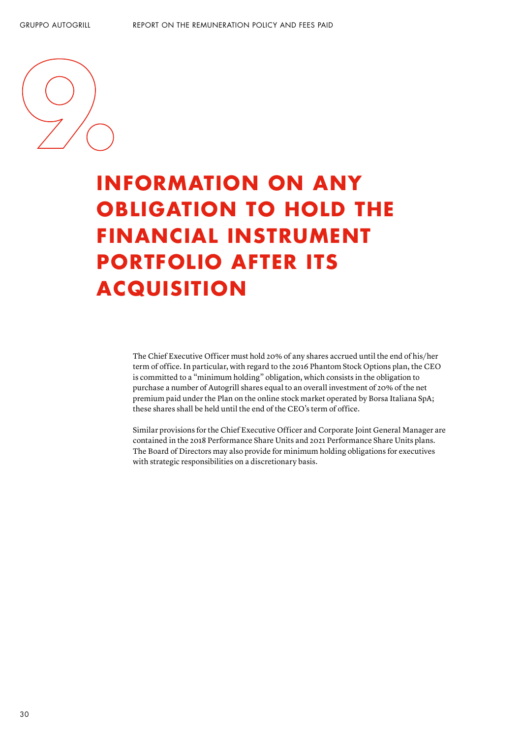

# **INFORMATION ON ANY OBLIGATION TO HOLD THE FINANCIAL INSTRUMENT PORTFOLIO AFTER ITS ACQUISITION**

The Chief Executive Officer must hold 20% of any shares accrued until the end of his/her term of office. In particular, with regard to the 2016 Phantom Stock Options plan, the CEO is committed to a "minimum holding" obligation, which consists in the obligation to purchase a number of Autogrill shares equal to an overall investment of 20% of the net premium paid under the Plan on the online stock market operated by Borsa Italiana SpA; these shares shall be held until the end of the CEO's term of office.

Similar provisions for the Chief Executive Officer and Corporate Joint General Manager are contained in the 2018 Performance Share Units and 2021 Performance Share Units plans. The Board of Directors may also provide for minimum holding obligations for executives with strategic responsibilities on a discretionary basis.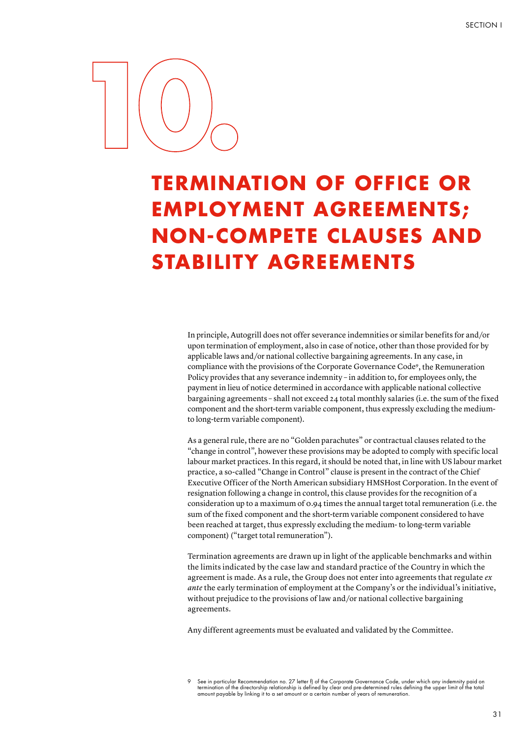**10.**

# **TERMINATION OF OFFICE OR EMPLOYMENT AGREEMENTS; NON-COMPETE CLAUSES AND STABILITY AGREEMENTS**

In principle, Autogrill does not offer severance indemnities or similar benefits for and/or upon termination of employment, also in case of notice, other than those provided for by applicable laws and/or national collective bargaining agreements. In any case, in compliance with the provisions of the Corporate Governance Code9, the Remuneration Policy provides that any severance indemnity – in addition to, for employees only, the payment in lieu of notice determined in accordance with applicable national collective bargaining agreements – shall not exceed 24 total monthly salaries (i.e. the sum of the fixed component and the short-term variable component, thus expressly excluding the mediumto long-term variable component).

As a general rule, there are no "Golden parachutes" or contractual clauses related to the "change in control", however these provisions may be adopted to comply with specific local labour market practices. In this regard, it should be noted that, in line with US labour market practice, a so-called "Change in Control" clause is present in the contract of the Chief Executive Officer of the North American subsidiary HMSHost Corporation. In the event of resignation following a change in control, this clause provides for the recognition of a consideration up to a maximum of 0.94 times the annual target total remuneration (i.e. the sum of the fixed component and the short-term variable component considered to have been reached at target, thus expressly excluding the medium- to long-term variable component) ("target total remuneration").

Termination agreements are drawn up in light of the applicable benchmarks and within the limits indicated by the case law and standard practice of the Country in which the agreement is made. As a rule, the Group does not enter into agreements that regulate *ex ante* the early termination of employment at the Company's or the individual's initiative, without prejudice to the provisions of law and/or national collective bargaining agreements.

Any different agreements must be evaluated and validated by the Committee.

See in particular Recommendation no. 27 letter f) of the Corporate Governance Code, under which any indemnity paid on<br>Iermination of the directorship relationship is defined by clear and pre-determined rules defining the u amount payable by linking it to a set amount or a certain number of years of remuneration.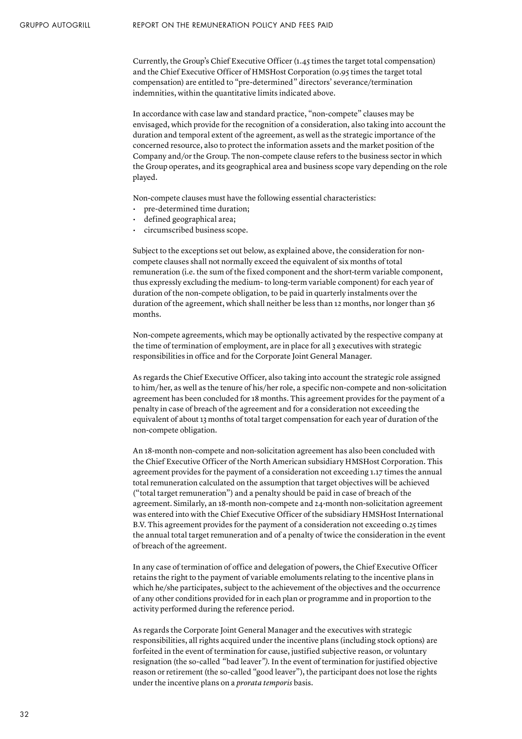Currently, the Group's Chief Executive Officer (1.45 times the target total compensation) and the Chief Executive Officer of HMSHost Corporation (0.95 times the target total compensation) are entitled to "pre-determined" directors' severance/termination indemnities, within the quantitative limits indicated above.

In accordance with case law and standard practice, "non-compete" clauses may be envisaged, which provide for the recognition of a consideration, also taking into account the duration and temporal extent of the agreement, as well as the strategic importance of the concerned resource, also to protect the information assets and the market position of the Company and/or the Group. The non-compete clause refers to the business sector in which the Group operates, and its geographical area and business scope vary depending on the role played.

Non-compete clauses must have the following essential characteristics:

- pre-determined time duration;
- defined geographical area;
- circumscribed business scope.

Subject to the exceptions set out below, as explained above, the consideration for noncompete clauses shall not normally exceed the equivalent of six months of total remuneration (i.e. the sum of the fixed component and the short-term variable component, thus expressly excluding the medium- to long-term variable component) for each year of duration of the non-compete obligation, to be paid in quarterly instalments over the duration of the agreement, which shall neither be less than 12 months, nor longer than 36 months.

Non-compete agreements, which may be optionally activated by the respective company at the time of termination of employment, are in place for all 3 executives with strategic responsibilities in office and for the Corporate Joint General Manager.

As regards the Chief Executive Officer, also taking into account the strategic role assigned to him/her, as well as the tenure of his/her role, a specific non-compete and non-solicitation agreement has been concluded for 18 months. This agreement provides for the payment of a penalty in case of breach of the agreement and for a consideration not exceeding the equivalent of about 13 months of total target compensation for each year of duration of the non-compete obligation.

An 18-month non-compete and non-solicitation agreement has also been concluded with the Chief Executive Officer of the North American subsidiary HMSHost Corporation. This agreement provides for the payment of a consideration not exceeding 1.17 times the annual total remuneration calculated on the assumption that target objectives will be achieved ("total target remuneration") and a penalty should be paid in case of breach of the agreement. Similarly, an 18-month non-compete and 24-month non-solicitation agreement was entered into with the Chief Executive Officer of the subsidiary HMSHost International B.V. This agreement provides for the payment of a consideration not exceeding 0.25 times the annual total target remuneration and of a penalty of twice the consideration in the event of breach of the agreement.

In any case of termination of office and delegation of powers, the Chief Executive Officer retains the right to the payment of variable emoluments relating to the incentive plans in which he/she participates, subject to the achievement of the objectives and the occurrence of any other conditions provided for in each plan or programme and in proportion to the activity performed during the reference period.

As regards the Corporate Joint General Manager and the executives with strategic responsibilities, all rights acquired under the incentive plans (including stock options) are forfeited in the event of termination for cause, justified subjective reason, or voluntary resignation (the so-called *"*bad leaver*").* In the event of termination for justified objective reason or retirement (the so-called "good leaver"), the participant does not lose the rights under the incentive plans on a *prorata temporis* basis.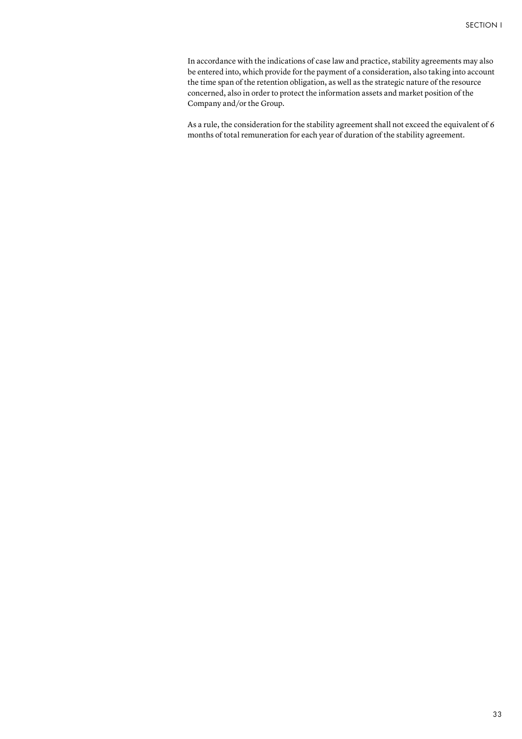In accordance with the indications of case law and practice, stability agreements may also be entered into, which provide for the payment of a consideration, also taking into account the time span of the retention obligation, as well as the strategic nature of the resource concerned, also in order to protect the information assets and market position of the Company and/or the Group.

As a rule, the consideration for the stability agreement shall not exceed the equivalent of 6 months of total remuneration for each year of duration of the stability agreement.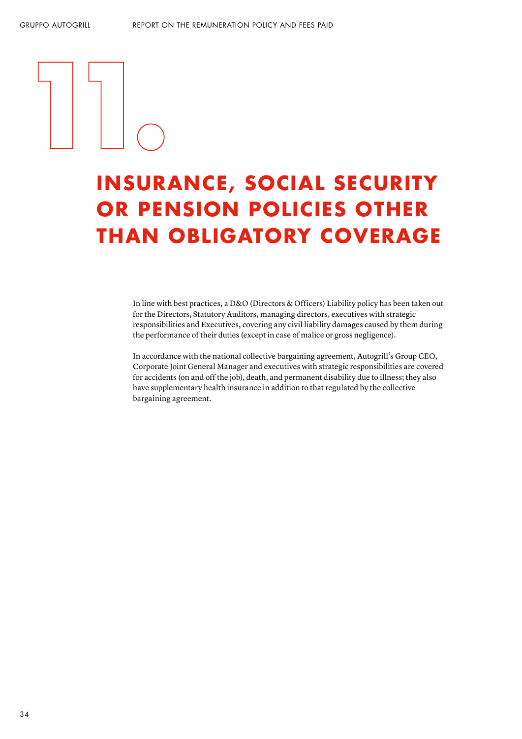# **11. INSURANCE, SOCIAL SECURITY OR PENSION POLICIES OTHER THAN OBLIGATORY COVERAGE**

In line with best practices, a D&O (Directors & Officers) Liability policy has been taken out for the Directors, Statutory Auditors, managing directors, executives with strategic responsibilities and Executives, covering any civil liability damages caused by them during the performance of their duties (except in case of malice or gross negligence).

In accordance with the national collective bargaining agreement, Autogrill's Group CEO, Corporate Joint General Manager and executives with strategic responsibilities are covered for accidents (on and off the job), death, and permanent disability due to illness; they also have supplementary health insurance in addition to that regulated by the collective bargaining agreement.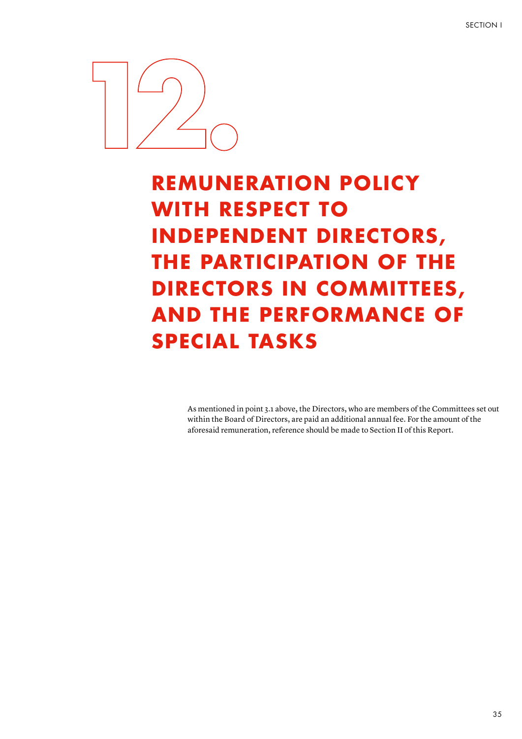

# **REMUNERATION POLICY WITH RESPECT TO INDEPENDENT DIRECTORS, THE PARTICIPATION OF THE DIRECTORS IN COMMITTEES, AND THE PERFORMANCE OF SPECIAL TASKS**

As mentioned in point 3.1 above, the Directors, who are members of the Committees set out within the Board of Directors, are paid an additional annual fee. For the amount of the aforesaid remuneration, reference should be made to Section II of this Report.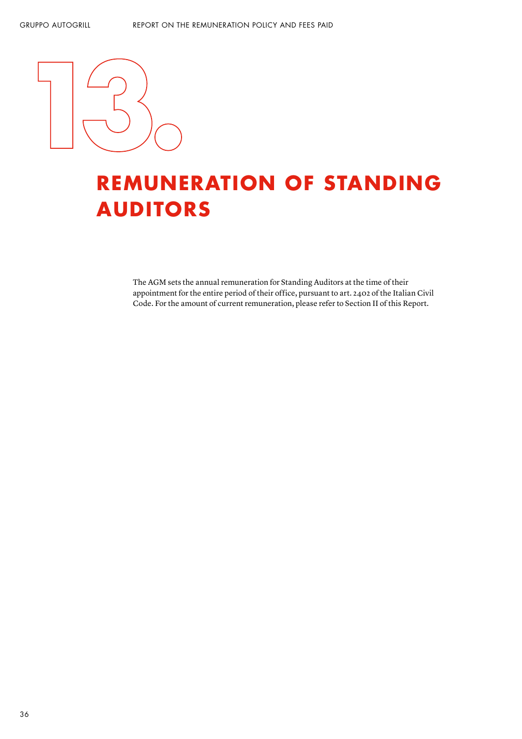

# **REMUNERATION OF STANDING AUDITORS**

The AGM sets the annual remuneration for Standing Auditors at the time of their appointment for the entire period of their office, pursuant to art. 2402 of the Italian Civil Code. For the amount of current remuneration, please refer to Section II of this Report.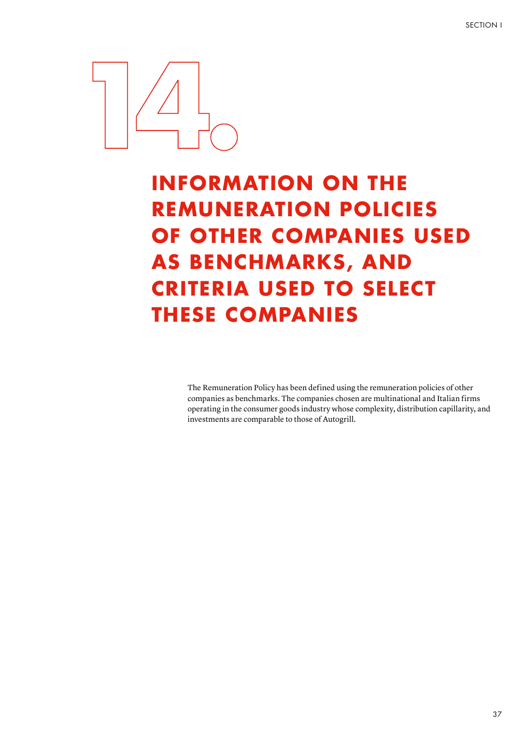

# **INFORMATION ON THE REMUNERATION POLICIES OF OTHER COMPANIES USED AS BENCHMARKS, AND CRITERIA USED TO SELECT THESE COMPANIES**

The Remuneration Policy has been defined using the remuneration policies of other companies as benchmarks. The companies chosen are multinational and Italian firms operating in the consumer goods industry whose complexity, distribution capillarity, and investments are comparable to those of Autogrill.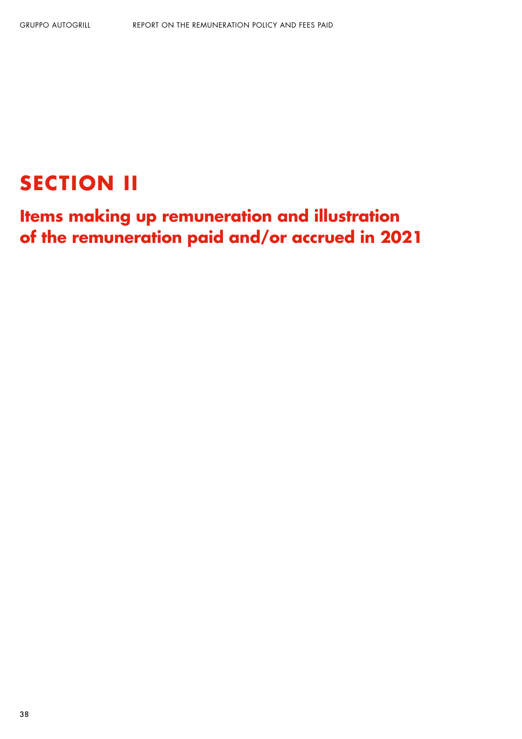# **SECTION II**

**Items making up remuneration and illustration of the remuneration paid and/or accrued in 2021**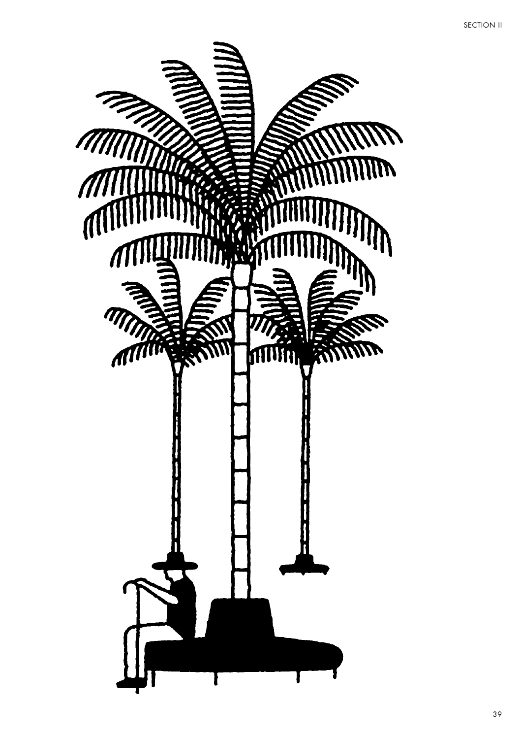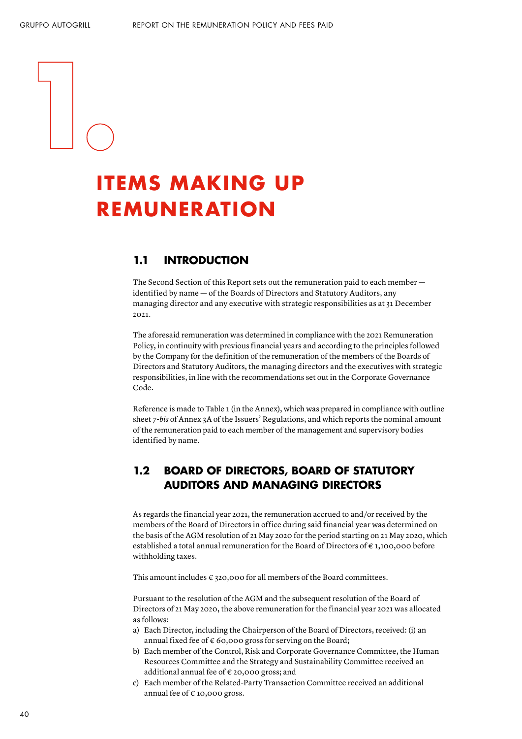**1.**

# **ITEMS MAKING UP REMUNERATION**

### **1.1 INTRODUCTION**

The Second Section of this Report sets out the remuneration paid to each member identified by name — of the Boards of Directors and Statutory Auditors, any managing director and any executive with strategic responsibilities as at 31 December 2021.

The aforesaid remuneration was determined in compliance with the 2021 Remuneration Policy, in continuity with previous financial years and according to the principles followed by the Company for the definition of the remuneration of the members of the Boards of Directors and Statutory Auditors, the managing directors and the executives with strategic responsibilities, in line with the recommendations set out in the Corporate Governance Code.

Reference is made to Table 1 (in the Annex), which was prepared in compliance with outline sheet 7-*bis* of Annex 3A of the Issuers' Regulations, and which reports the nominal amount of the remuneration paid to each member of the management and supervisory bodies identified by name.

### **1.2 BOARD OF DIRECTORS, BOARD OF STATUTORY AUDITORS AND MANAGING DIRECTORS**

As regards the financial year 2021, the remuneration accrued to and/or received by the members of the Board of Directors in office during said financial year was determined on the basis of the AGM resolution of 21 May 2020 for the period starting on 21 May 2020, which established a total annual remuneration for the Board of Directors of  $\epsilon$  1,100,000 before withholding taxes.

This amount includes  $\epsilon$  320,000 for all members of the Board committees.

Pursuant to the resolution of the AGM and the subsequent resolution of the Board of Directors of 21 May 2020, the above remuneration for the financial year 2021 was allocated as follows:

- a) Each Director, including the Chairperson of the Board of Directors, received: (i) an annual fixed fee of  $\epsilon$  60,000 gross for serving on the Board;
- b) Each member of the Control, Risk and Corporate Governance Committee, the Human Resources Committee and the Strategy and Sustainability Committee received an additional annual fee of  $\epsilon$  20,000 gross; and
- c) Each member of the Related-Party Transaction Committee received an additional annual fee of € 10,000 gross.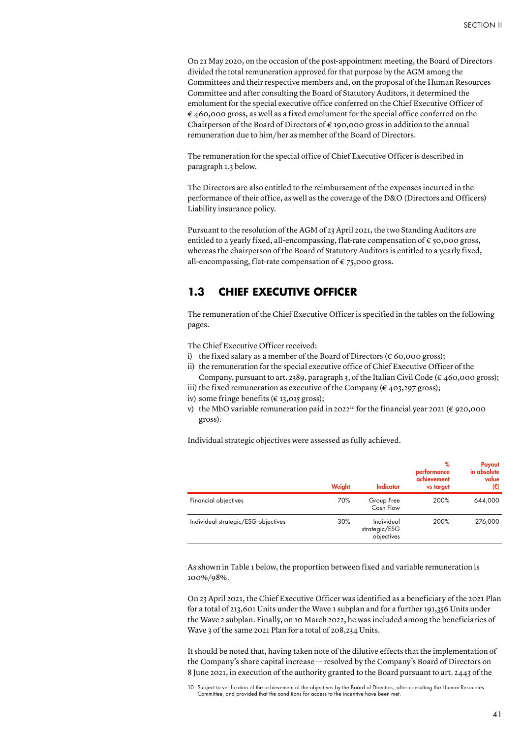On 21 May 2020, on the occasion of the post-appointment meeting, the Board of Directors divided the total remuneration approved for that purpose by the AGM among the Committees and their respective members and, on the proposal of the Human Resources Committee and after consulting the Board of Statutory Auditors, it determined the emolument for the special executive office conferred on the Chief Executive Officer of  $\epsilon$  460,000 gross, as well as a fixed emolument for the special office conferred on the Chairperson of the Board of Directors of  $\epsilon$  190,000 gross in addition to the annual remuneration due to him/her as member of the Board of Directors.

The remuneration for the special office of Chief Executive Officer is described in paragraph 1.3 below.

The Directors are also entitled to the reimbursement of the expenses incurred in the performance of their office, as well as the coverage of the D&O (Directors and Officers) Liability insurance policy.

Pursuant to the resolution of the AGM of 23 April 2021, the two Standing Auditors are entitled to a yearly fixed, all-encompassing, flat-rate compensation of  $\epsilon$  50,000 gross, whereas the chairperson of the Board of Statutory Auditors is entitled to a yearly fixed, all-encompassing, flat-rate compensation of  $\epsilon$  75,000 gross.

### **1.3 CHIEF EXECUTIVE OFFICER**

The remuneration of the Chief Executive Officer is specified in the tables on the following pages.

The Chief Executive Officer received:

- i) the fixed salary as a member of the Board of Directors ( $\epsilon$  60,000 gross);
- ii) the remuneration for the special executive office of Chief Executive Officer of the Company, pursuant to art. 2389, paragraph 3, of the Italian Civil Code ( $\epsilon$  460,000 gross);
- iii) the fixed remuneration as executive of the Company ( $\epsilon$  403,297 gross);
- iv) some fringe benefits ( $\epsilon$  13,015 gross);
- v) the MbO variable remuneration paid in 2022<sup>10</sup> for the financial year 2021 ( $\epsilon$  920,000 gross).

Individual strategic objectives were assessed as fully achieved.

|                                     | Weight | Indicator                                 | %<br>performance<br>achievement<br>vs target | Payout<br>in absolute<br>value<br>$(\epsilon)$ |
|-------------------------------------|--------|-------------------------------------------|----------------------------------------------|------------------------------------------------|
| Financial objectives                | 70%    | Group Free<br>Cash Flow                   | 200%                                         | 644,000                                        |
| Individual strategic/ESG objectives | 30%    | Individual<br>strategic/ESG<br>objectives | 200%                                         | 276,000                                        |

As shown in Table 1 below, the proportion between fixed and variable remuneration is 100%/98%.

On 23 April 2021, the Chief Executive Officer was identified as a beneficiary of the 2021 Plan for a total of 213,601 Units under the Wave 1 subplan and for a further 191,356 Units under the Wave 2 subplan. Finally, on 10 March 2022, he was included among the beneficiaries of Wave 3 of the same 2021 Plan for a total of 208,234 Units.

It should be noted that, having taken note of the dilutive effects that the implementation of the Company's share capital increase — resolved by the Company's Board of Directors on 8 June 2021, in execution of the authority granted to the Board pursuant to art. 2443 of the

10 Subject to verification of the achievement of the objectives by the Board of Directors, after consulting the Human Resources Committee, and provided that the conditions for access to the incentive have been met.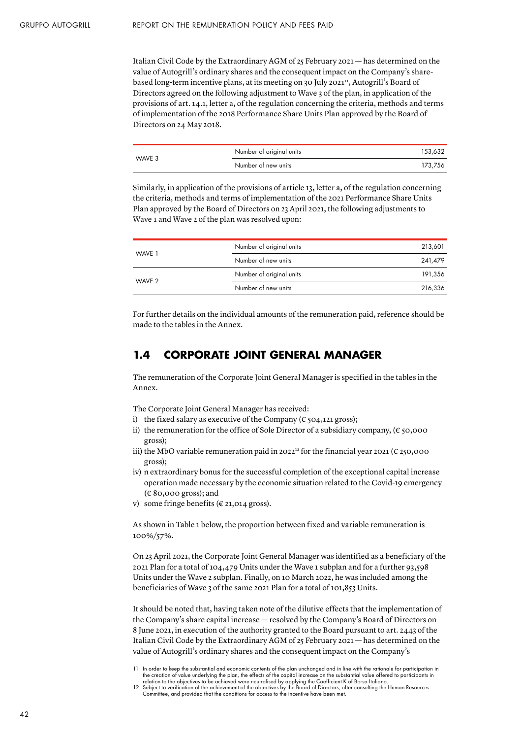Italian Civil Code by the Extraordinary AGM of 25 February 2021 — has determined on the value of Autogrill's ordinary shares and the consequent impact on the Company's sharebased long-term incentive plans, at its meeting on 30 July 2021<sup>11</sup>, Autogrill's Board of Directors agreed on the following adjustment to Wave 3 of the plan, in application of the provisions of art. 14.1, letter a, of the regulation concerning the criteria, methods and terms of implementation of the 2018 Performance Share Units Plan approved by the Board of Directors on 24 May 2018.

| WAVE 3 | Number of original units | 153.632 |
|--------|--------------------------|---------|
|        | Number of new units      | 173.756 |

Similarly, in application of the provisions of article 13, letter a, of the regulation concerning the criteria, methods and terms of implementation of the 2021 Performance Share Units Plan approved by the Board of Directors on 23 April 2021, the following adjustments to Wave 1 and Wave 2 of the plan was resolved upon:

| WAVE 1 | Number of original units | 213,601 |
|--------|--------------------------|---------|
|        | Number of new units      | 241.479 |
|        | Number of original units | 191,356 |
| WAVE 2 | Number of new units      | 216,336 |

For further details on the individual amounts of the remuneration paid, reference should be made to the tables in the Annex.

### **1.4 CORPORATE JOINT GENERAL MANAGER**

The remuneration of the Corporate Joint General Manager is specified in the tables in the Annex.

The Corporate Joint General Manager has received:

- i) the fixed salary as executive of the Company ( $\epsilon$  504,121 gross);
- ii) the remuneration for the office of Sole Director of a subsidiary company,  $(\epsilon$  50,000 gross);
- iii) the MbO variable remuneration paid in 2022<sup>12</sup> for the financial year 2021 ( $\epsilon$  250,000 gross);
- iv) n extraordinary bonus for the successful completion of the exceptional capital increase operation made necessary by the economic situation related to the Covid-19 emergency (€ 80,000 gross); and
- v) some fringe benefits ( $\epsilon$  21,014 gross).

As shown in Table 1 below, the proportion between fixed and variable remuneration is 100%/57%.

On 23 April 2021, the Corporate Joint General Manager was identified as a beneficiary of the 2021 Plan for a total of 104,479 Units under the Wave 1 subplan and for a further 93,598 Units under the Wave 2 subplan. Finally, on 10 March 2022, he was included among the beneficiaries of Wave 3 of the same 2021 Plan for a total of 101,853 Units.

It should be noted that, having taken note of the dilutive effects that the implementation of the Company's share capital increase — resolved by the Company's Board of Directors on 8 June 2021, in execution of the authority granted to the Board pursuant to art. 2443 of the Italian Civil Code by the Extraordinary AGM of 25 February 2021 — has determined on the value of Autogrill's ordinary shares and the consequent impact on the Company's

<sup>11</sup> In order to keep the substantial and economic contents of the plan unchanged and in line with the rationale for participation in the creation of value underlying the plan, the effects of the capital increase on the substantial value offered to participants in relation to the objectives to be achieved were neutralised by applying the Coefficient K of Borsa Italiana.<br>12 Subject to verification of the achievement of the objectives by the Board of Directors, after consulting the Hu

Committee, and provided that the conditions for access to the incentive have been met.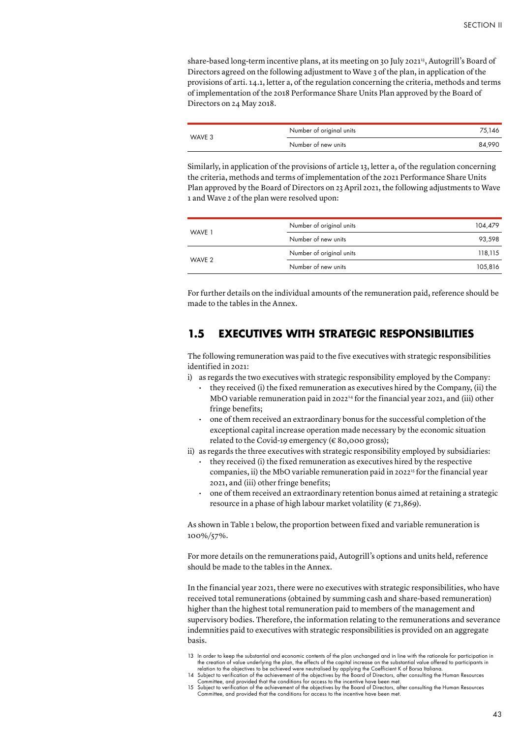share-based long-term incentive plans, at its meeting on 30 July 2021<sup>3</sup>, Autogrill's Board of Directors agreed on the following adjustment to Wave 3 of the plan, in application of the provisions of arti. 14.1, letter a, of the regulation concerning the criteria, methods and terms of implementation of the 2018 Performance Share Units Plan approved by the Board of Directors on 24 May 2018.

| WAVE 3 | Number of original units | 75.146 |
|--------|--------------------------|--------|
|        | Number of new units      | 84.990 |

Similarly, in application of the provisions of article 13, letter a, of the regulation concerning the criteria, methods and terms of implementation of the 2021 Performance Share Units Plan approved by the Board of Directors on 23 April 2021, the following adjustments to Wave 1 and Wave 2 of the plan were resolved upon:

|        | Number of original units | 104,479 |
|--------|--------------------------|---------|
| WAVE 1 | Number of new units      | 93,598  |
| WAVE 2 | Number of original units | 118,115 |
|        | Number of new units      | 105,816 |

For further details on the individual amounts of the remuneration paid, reference should be made to the tables in the Annex.

### **1.5 EXECUTIVES WITH STRATEGIC RESPONSIBILITIES**

The following remuneration was paid to the five executives with strategic responsibilities identified in 2021:

- i) as regards the two executives with strategic responsibility employed by the Company:
	- they received (i) the fixed remuneration as executives hired by the Company, (ii) the MbO variable remuneration paid in 202214 for the financial year 2021, and (iii) other fringe benefits;
	- one of them received an extraordinary bonus for the successful completion of the exceptional capital increase operation made necessary by the economic situation related to the Covid-19 emergency ( $\epsilon$  80,000 gross);
- ii) as regards the three executives with strategic responsibility employed by subsidiaries:
	- they received (i) the fixed remuneration as executives hired by the respective companies, ii) the MbO variable remuneration paid in 2022<sup>15</sup> for the financial year 2021, and (iii) other fringe benefits;
	- one of them received an extraordinary retention bonus aimed at retaining a strategic resource in a phase of high labour market volatility ( $\epsilon$  71,869).

As shown in Table 1 below, the proportion between fixed and variable remuneration is 100%/57%.

For more details on the remunerations paid, Autogrill's options and units held, reference should be made to the tables in the Annex.

In the financial year 2021, there were no executives with strategic responsibilities, who have received total remunerations (obtained by summing cash and share-based remuneration) higher than the highest total remuneration paid to members of the management and supervisory bodies. Therefore, the information relating to the remunerations and severance indemnities paid to executives with strategic responsibilities is provided on an aggregate basis.

- 13 In order to keep the substantial and economic contents of the plan unchanged and in line with the rationale for participation in the creation of value underlying the plan, the effects of the capital increase on the substantial value offered to participants in<br>relation to the objectives to be achieved were neutralised by applying the Coefficient K of
- 14 Subject to verification of the achievement of the objectives by the Board of Directors, after consulting the Human Resources
- Committee, and provided that the conditions for access to the incentive have been met. 15 Subject to verification of the achievement of the objectives by the Board of Directors, after consulting the Human Resources Committee, and provided that the conditions for access to the incentive have been met.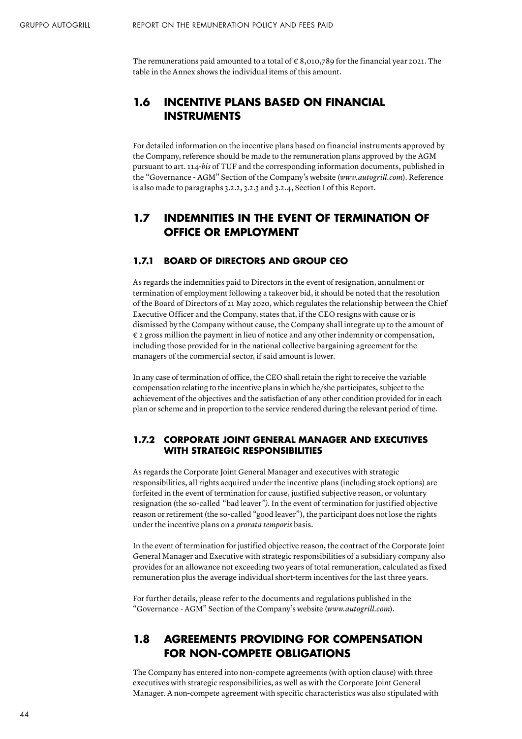The remunerations paid amounted to a total of  $\epsilon$  8,010,789 for the financial year 2021. The table in the Annex shows the individual items of this amount.

### **1.6 INCENTIVE PLANS BASED ON FINANCIAL INSTRUMENTS**

For detailed information on the incentive plans based on financial instruments approved by the Company, reference should be made to the remuneration plans approved by the AGM pursuant to art. 114-*bis* of TUF and the corresponding information documents, published in the "Governance - AGM" Section of the Company's website (*www.autogrill.com*). Reference is also made to paragraphs 3.2.2, 3.2.3 and 3.2.4, Section I of this Report.

### **1.7 INDEMNITIES IN THE EVENT OF TERMINATION OF OFFICE OR EMPLOYMENT**

### **1.7.1 BOARD OF DIRECTORS AND GROUP CEO**

As regards the indemnities paid to Directors in the event of resignation, annulment or termination of employment following a takeover bid, it should be noted that the resolution of the Board of Directors of 21 May 2020, which regulates the relationship between the Chief Executive Officer and the Company, states that, if the CEO resigns with cause or is dismissed by the Company without cause, the Company shall integrate up to the amount of  $\epsilon$  2 gross million the payment in lieu of notice and any other indemnity or compensation, including those provided for in the national collective bargaining agreement for the managers of the commercial sector, if said amount is lower.

In any case of termination of office, the CEO shall retain the right to receive the variable compensation relating to the incentive plans in which he/she participates, subject to the achievement of the objectives and the satisfaction of any other condition provided for in each plan or scheme and in proportion to the service rendered during the relevant period of time.

### **1.7.2 CORPORATE JOINT GENERAL MANAGER AND EXECUTIVES WITH STRATEGIC RESPONSIBILITIES**

As regards the Corporate Joint General Manager and executives with strategic responsibilities, all rights acquired under the incentive plans (including stock options) are forfeited in the event of termination for cause, justified subjective reason, or voluntary resignation (the so-called *"*bad leaver*").* In the event of termination for justified objective reason or retirement (the so-called "good leaver"), the participant does not lose the rights under the incentive plans on a *prorata temporis* basis.

In the event of termination for justified objective reason, the contract of the Corporate Joint General Manager and Executive with strategic responsibilities of a subsidiary company also provides for an allowance not exceeding two years of total remuneration, calculated as fixed remuneration plus the average individual short-term incentives for the last three years.

For further details, please refer to the documents and regulations published in the "Governance - AGM" Section of the Company's website (*www.autogrill.com*).

### **1.8 AGREEMENTS PROVIDING FOR COMPENSATION FOR NON-COMPETE OBLIGATIONS**

The Company has entered into non-compete agreements (with option clause) with three executives with strategic responsibilities, as well as with the Corporate Joint General Manager. A non-compete agreement with specific characteristics was also stipulated with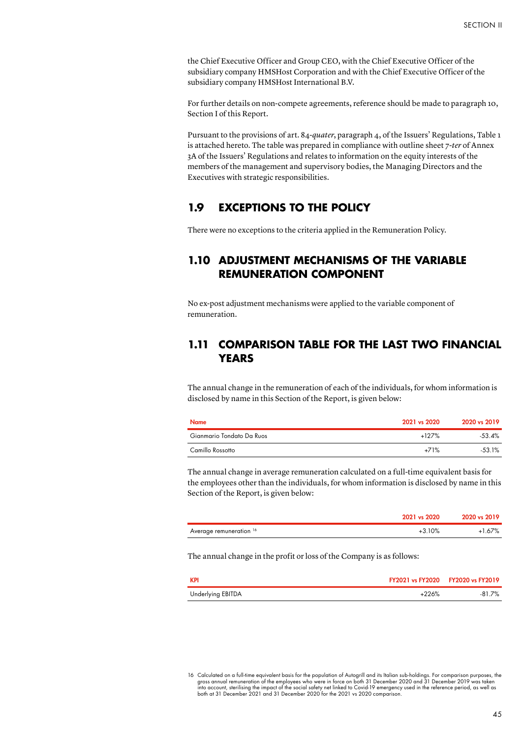the Chief Executive Officer and Group CEO, with the Chief Executive Officer of the subsidiary company HMSHost Corporation and with the Chief Executive Officer of the subsidiary company HMSHost International B.V.

For further details on non-compete agreements, reference should be made to paragraph 10, Section I of this Report.

Pursuant to the provisions of art. 84-*quater*, paragraph 4, of the Issuers' Regulations, Table 1 is attached hereto. The table was prepared in compliance with outline sheet 7-*ter* of Annex 3A of the Issuers' Regulations and relates to information on the equity interests of the members of the management and supervisory bodies, the Managing Directors and the Executives with strategic responsibilities.

### **1.9 EXCEPTIONS TO THE POLICY**

There were no exceptions to the criteria applied in the Remuneration Policy.

### **1.10 ADJUSTMENT MECHANISMS OF THE VARIABLE REMUNERATION COMPONENT**

No ex-post adjustment mechanisms were applied to the variable component of remuneration.

### **1.11 COMPARISON TABLE FOR THE LAST TWO FINANCIAL YEARS**

The annual change in the remuneration of each of the individuals, for whom information is disclosed by name in this Section of the Report, is given below:

| <b>Name</b>               | 2021 vs 2020 | 2020 vs 2019 |
|---------------------------|--------------|--------------|
| Gianmario Tondato Da Ruos | $+127\%$     | -53.4%       |
| Camillo Rossotto          | $+71%$       | $-53.1\%$    |

The annual change in average remuneration calculated on a full-time equivalent basis for the employees other than the individuals, for whom information is disclosed by name in this Section of the Report, is given below:

|                                    | 2021 vs 2020 | 2020 vs 2019 |
|------------------------------------|--------------|--------------|
| Average remuneration <sup>16</sup> | $+3.10%$     | $+1.67%$     |

The annual change in the profit or loss of the Company is as follows:

| <b>KPI</b>        | FY2021 vs FY2020 FY2020 vs FY2019 |  |
|-------------------|-----------------------------------|--|
| Underlying EBITDA | $+226%$                           |  |

<sup>16</sup> Calculated on a full-time equivalent basis for the population of Autogrill and its Italian sub-holdings. For comparison purposes, the gross annual remuneration of the employees who were in force on both 31 December 2020 and 31 December 2019 was taken<br>into account, sterilising the impact of the social safety net linked to Covid-19 emergency used in the re both at 31 December 2021 and 31 December 2020 for the 2021 vs 2020 comparison.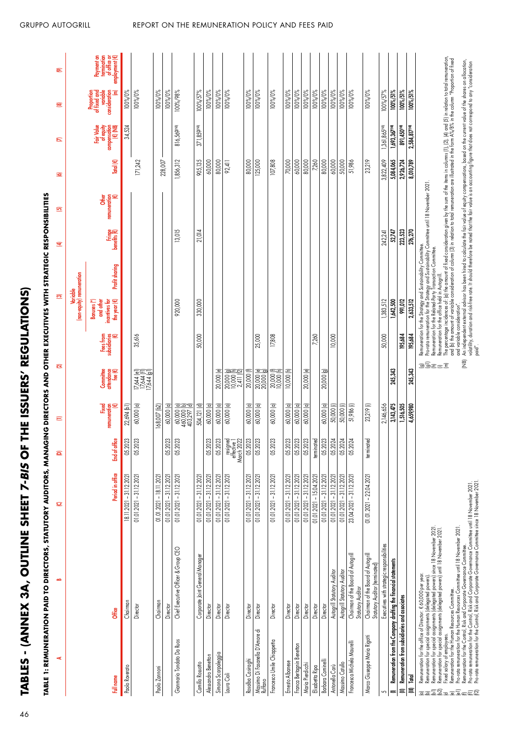| vid City includ websity-bittle avera |
|--------------------------------------|
|                                      |
|                                      |
|                                      |
|                                      |
|                                      |
|                                      |
|                                      |
| l                                    |
|                                      |
|                                      |
|                                      |
|                                      |
|                                      |
|                                      |
|                                      |
|                                      |
|                                      |
| <br> <br> <br> <br>                  |
|                                      |
|                                      |
|                                      |
| $\vdots$                             |
|                                      |
| u und ihi id                         |
|                                      |
|                                      |
|                                      |
|                                      |
|                                      |
| S C PLIANTS LES                      |
|                                      |
|                                      |
|                                      |
|                                      |
|                                      |

| $\frac{1}{2}$                                                                                                                                                                                                                                                                                             |
|-----------------------------------------------------------------------------------------------------------------------------------------------------------------------------------------------------------------------------------------------------------------------------------------------------------|
|                                                                                                                                                                                                                                                                                                           |
|                                                                                                                                                                                                                                                                                                           |
|                                                                                                                                                                                                                                                                                                           |
| ֧֧֧֧֧ׅ֧ׅ֧ׅ֧֧ׅ֧ׅ֧ׅ֧ׅ֧֧ׅ֧ׅ֧֧֧֧֧֪֧֚֚֚֚֚֚֚֚֚֚֚֚֚֚֚֚֚֚֚֚֚֚֚֚֚֚֝֜֓֝֬֜֓֜֓֜֜֓֝֬֜֜֝֬֝֬֝֬֝֬                                                                                                                                                                                                                         |
|                                                                                                                                                                                                                                                                                                           |
|                                                                                                                                                                                                                                                                                                           |
|                                                                                                                                                                                                                                                                                                           |
|                                                                                                                                                                                                                                                                                                           |
|                                                                                                                                                                                                                                                                                                           |
|                                                                                                                                                                                                                                                                                                           |
|                                                                                                                                                                                                                                                                                                           |
|                                                                                                                                                                                                                                                                                                           |
|                                                                                                                                                                                                                                                                                                           |
|                                                                                                                                                                                                                                                                                                           |
|                                                                                                                                                                                                                                                                                                           |
|                                                                                                                                                                                                                                                                                                           |
|                                                                                                                                                                                                                                                                                                           |
|                                                                                                                                                                                                                                                                                                           |
|                                                                                                                                                                                                                                                                                                           |
|                                                                                                                                                                                                                                                                                                           |
|                                                                                                                                                                                                                                                                                                           |
|                                                                                                                                                                                                                                                                                                           |
|                                                                                                                                                                                                                                                                                                           |
|                                                                                                                                                                                                                                                                                                           |
|                                                                                                                                                                                                                                                                                                           |
|                                                                                                                                                                                                                                                                                                           |
|                                                                                                                                                                                                                                                                                                           |
|                                                                                                                                                                                                                                                                                                           |
|                                                                                                                                                                                                                                                                                                           |
|                                                                                                                                                                                                                                                                                                           |
|                                                                                                                                                                                                                                                                                                           |
|                                                                                                                                                                                                                                                                                                           |
|                                                                                                                                                                                                                                                                                                           |
|                                                                                                                                                                                                                                                                                                           |
| ${1\over 2}$                                                                                                                                                                                                                                                                                              |
|                                                                                                                                                                                                                                                                                                           |
|                                                                                                                                                                                                                                                                                                           |
|                                                                                                                                                                                                                                                                                                           |
|                                                                                                                                                                                                                                                                                                           |
|                                                                                                                                                                                                                                                                                                           |
|                                                                                                                                                                                                                                                                                                           |
|                                                                                                                                                                                                                                                                                                           |
|                                                                                                                                                                                                                                                                                                           |
|                                                                                                                                                                                                                                                                                                           |
|                                                                                                                                                                                                                                                                                                           |
|                                                                                                                                                                                                                                                                                                           |
|                                                                                                                                                                                                                                                                                                           |
|                                                                                                                                                                                                                                                                                                           |
| <br> <br> <br> <br> <br> <br> <br>                                                                                                                                                                                                                                                                        |
|                                                                                                                                                                                                                                                                                                           |
|                                                                                                                                                                                                                                                                                                           |
| ֧֧ׅ֧ׅ֧֧ׅ֧֧ׅ֧ׅ֧ׅ֧֧ׅ֧ׅ֧ׅ֧ׅ֧ׅ֧ׅ֧ׅ֧֪֧֧֚֚֚֚֚֚֚֚֚֚֚֚֚֚֚֚֚֚֚֚֚֚֚֚֚֚֚֚֚֟֟֝֓֜֜֜֜֜֜֜֜֜֜֜֝                                                                                                                                                                                                                           |
|                                                                                                                                                                                                                                                                                                           |
|                                                                                                                                                                                                                                                                                                           |
| $\vdots$                                                                                                                                                                                                                                                                                                  |
|                                                                                                                                                                                                                                                                                                           |
|                                                                                                                                                                                                                                                                                                           |
|                                                                                                                                                                                                                                                                                                           |
|                                                                                                                                                                                                                                                                                                           |
|                                                                                                                                                                                                                                                                                                           |
|                                                                                                                                                                                                                                                                                                           |
|                                                                                                                                                                                                                                                                                                           |
|                                                                                                                                                                                                                                                                                                           |
|                                                                                                                                                                                                                                                                                                           |
|                                                                                                                                                                                                                                                                                                           |
|                                                                                                                                                                                                                                                                                                           |
|                                                                                                                                                                                                                                                                                                           |
| ver den de la de la deveniration de la de de de la de de la de la de la de de la de de la de de la de de la de                                                                                                                                                                                            |
| $\frac{1}{2}$ , $\frac{1}{2}$ , $\frac{1}{2}$ , $\frac{1}{2}$ , $\frac{1}{2}$ , $\frac{1}{2}$ , $\frac{1}{2}$ , $\frac{1}{2}$ , $\frac{1}{2}$ , $\frac{1}{2}$ , $\frac{1}{2}$ , $\frac{1}{2}$ , $\frac{1}{2}$ , $\frac{1}{2}$ , $\frac{1}{2}$ , $\frac{1}{2}$ , $\frac{1}{2}$ , $\frac{1}{2}$ , $\frac{1$ |
|                                                                                                                                                                                                                                                                                                           |
|                                                                                                                                                                                                                                                                                                           |
|                                                                                                                                                                                                                                                                                                           |
| i<br>i<br>i                                                                                                                                                                                                                                                                                               |
|                                                                                                                                                                                                                                                                                                           |
|                                                                                                                                                                                                                                                                                                           |
|                                                                                                                                                                                                                                                                                                           |
|                                                                                                                                                                                                                                                                                                           |
|                                                                                                                                                                                                                                                                                                           |
|                                                                                                                                                                                                                                                                                                           |
|                                                                                                                                                                                                                                                                                                           |
|                                                                                                                                                                                                                                                                                                           |
| I                                                                                                                                                                                                                                                                                                         |
| l                                                                                                                                                                                                                                                                                                         |
|                                                                                                                                                                                                                                                                                                           |
|                                                                                                                                                                                                                                                                                                           |
|                                                                                                                                                                                                                                                                                                           |
|                                                                                                                                                                                                                                                                                                           |
|                                                                                                                                                                                                                                                                                                           |
|                                                                                                                                                                                                                                                                                                           |
|                                                                                                                                                                                                                                                                                                           |
|                                                                                                                                                                                                                                                                                                           |
|                                                                                                                                                                                                                                                                                                           |
| I<br>I                                                                                                                                                                                                                                                                                                    |

| ⋖                                                                                                 | $\mathbf{a}$                                                                                                                                                                                                                                                                                                                                                                                                                                                                                                                                                                                                          | ള                         | Ξ                                     | Ξ                                     | ⊴                                      |                                  | తె                                                                    |                | ₹                      | 叵                                                                                                                                                                                                                                                                                                                                                                                                                                                                                                                                                                                                                                                                                    | ଛ             | $\mathbf{z}$                                        | ☎                                                            | ଛ                                                           |
|---------------------------------------------------------------------------------------------------|-----------------------------------------------------------------------------------------------------------------------------------------------------------------------------------------------------------------------------------------------------------------------------------------------------------------------------------------------------------------------------------------------------------------------------------------------------------------------------------------------------------------------------------------------------------------------------------------------------------------------|---------------------------|---------------------------------------|---------------------------------------|----------------------------------------|----------------------------------|-----------------------------------------------------------------------|----------------|------------------------|--------------------------------------------------------------------------------------------------------------------------------------------------------------------------------------------------------------------------------------------------------------------------------------------------------------------------------------------------------------------------------------------------------------------------------------------------------------------------------------------------------------------------------------------------------------------------------------------------------------------------------------------------------------------------------------|---------------|-----------------------------------------------------|--------------------------------------------------------------|-------------------------------------------------------------|
|                                                                                                   |                                                                                                                                                                                                                                                                                                                                                                                                                                                                                                                                                                                                                       |                           |                                       |                                       |                                        |                                  | (non-equity) remuneration<br>Variable                                 |                |                        |                                                                                                                                                                                                                                                                                                                                                                                                                                                                                                                                                                                                                                                                                      |               |                                                     |                                                              |                                                             |
| Full name                                                                                         | <b>SHice</b>                                                                                                                                                                                                                                                                                                                                                                                                                                                                                                                                                                                                          | Period in office          | End of office                         | Fixed<br>remuneration<br>(€)          | Committee<br>attendance<br>fee (€)     | Fees from<br>subsidiaries<br>(E) | Bonuses <sup>(*)</sup><br>and other<br>incentives for<br>the year (E) | Profit sharing | Fringe<br>benefits (E) | <del>م∦ة</del><br>remuneration<br>(€)                                                                                                                                                                                                                                                                                                                                                                                                                                                                                                                                                                                                                                                | $\frac{1}{2}$ | Fair Value<br>of equity<br>compensation<br>(E) (NB) | variable<br>Proportion<br>of fixed and<br>consideration<br>Ξ | Payment on<br>termination<br>of office or<br>employment (E) |
| Paolo Roverato                                                                                    | Chairmar                                                                                                                                                                                                                                                                                                                                                                                                                                                                                                                                                                                                              | 18.11.2021 - 31.12.2021   | 05.2023                               | 22,694 [b]                            |                                        |                                  |                                                                       |                |                        |                                                                                                                                                                                                                                                                                                                                                                                                                                                                                                                                                                                                                                                                                      |               | 34,524                                              | 100%/0%                                                      |                                                             |
|                                                                                                   | Director                                                                                                                                                                                                                                                                                                                                                                                                                                                                                                                                                                                                              | $01.01.2021 - 31.12.2021$ | 05.2023                               | 60,000 [a]                            | 17,644 [6]<br>17,644 [f]<br>17,644 [9] | 35,616                           |                                                                       |                |                        |                                                                                                                                                                                                                                                                                                                                                                                                                                                                                                                                                                                                                                                                                      | 171,242       |                                                     | 100%/0%                                                      |                                                             |
| Paolo Zannoni                                                                                     | Chairman                                                                                                                                                                                                                                                                                                                                                                                                                                                                                                                                                                                                              | $01.01.2021 - 18.11.2021$ |                                       | 168,007 b2                            |                                        |                                  |                                                                       |                |                        |                                                                                                                                                                                                                                                                                                                                                                                                                                                                                                                                                                                                                                                                                      |               |                                                     | 100%/0%                                                      |                                                             |
|                                                                                                   | Director                                                                                                                                                                                                                                                                                                                                                                                                                                                                                                                                                                                                              | $01.01.2021 - 31.12.2021$ | 23<br>05.20                           | 60,000 [a]                            |                                        |                                  |                                                                       |                |                        |                                                                                                                                                                                                                                                                                                                                                                                                                                                                                                                                                                                                                                                                                      | 228,007       |                                                     | 100%/0%                                                      |                                                             |
| Gianmario Tondato Da Ruos                                                                         | Chief Executive Officer & Group CEO                                                                                                                                                                                                                                                                                                                                                                                                                                                                                                                                                                                   | $01.01.2021 - 31.12.2021$ | 05.2023                               | 60,000 da<br>460,000 da<br>403,297 da |                                        |                                  | 920,000                                                               |                | 13,015                 |                                                                                                                                                                                                                                                                                                                                                                                                                                                                                                                                                                                                                                                                                      | 1,856,312     | 816,569 <sup>NB</sup>                               | 100%/98%                                                     |                                                             |
| Camillo Rossotto                                                                                  | Corporate Joint General Manager                                                                                                                                                                                                                                                                                                                                                                                                                                                                                                                                                                                       | $01.01.2021 - 31.12.2021$ |                                       | 504,121 [d]                           |                                        | 50,000                           | 330,000                                                               |                | 21,014                 |                                                                                                                                                                                                                                                                                                                                                                                                                                                                                                                                                                                                                                                                                      | 905,135       | 371,859 <sup>NB</sup>                               | $100\% / 57\%$                                               |                                                             |
| Alessandro Benetton                                                                               | Director                                                                                                                                                                                                                                                                                                                                                                                                                                                                                                                                                                                                              | $01.01.2021 - 31.12.2021$ | 05.2023                               | 60,000 [a]                            |                                        |                                  |                                                                       |                |                        |                                                                                                                                                                                                                                                                                                                                                                                                                                                                                                                                                                                                                                                                                      | 60,000        |                                                     | 100%/0%                                                      |                                                             |
| Simona Scarpaleggia                                                                               | Director                                                                                                                                                                                                                                                                                                                                                                                                                                                                                                                                                                                                              | $01.01.2021 - 31.12.2021$ | 05.2023                               | 60,000 [a]                            | 20,000 (e)                             |                                  |                                                                       |                |                        |                                                                                                                                                                                                                                                                                                                                                                                                                                                                                                                                                                                                                                                                                      | 80,000        |                                                     | 100%/0%                                                      |                                                             |
| Laura Cioli                                                                                       | Director                                                                                                                                                                                                                                                                                                                                                                                                                                                                                                                                                                                                              | $01.01.2021 - 31.12.2021$ | resigned<br>effective 1<br>March 2022 | 60,000 [q]                            | 20,000 MB                              |                                  |                                                                       |                |                        |                                                                                                                                                                                                                                                                                                                                                                                                                                                                                                                                                                                                                                                                                      | 92,411        |                                                     | 100%/0%                                                      |                                                             |
| Rosalba Casiraghi                                                                                 | Director                                                                                                                                                                                                                                                                                                                                                                                                                                                                                                                                                                                                              | $01.01.2021 - 31.12.2021$ | 05.2023                               | 60,000 [a]                            | 20,000                                 |                                  |                                                                       |                |                        |                                                                                                                                                                                                                                                                                                                                                                                                                                                                                                                                                                                                                                                                                      | 80,000        |                                                     | 100%/0%                                                      |                                                             |
| Massimo Di Fasanella D'Amore di<br>Ruttano                                                        | Director                                                                                                                                                                                                                                                                                                                                                                                                                                                                                                                                                                                                              | $01.01.2021 - 31.12.2021$ | 05.2023                               | 60,000 [q]                            | 20,000 (g)                             | 25,000                           |                                                                       |                |                        |                                                                                                                                                                                                                                                                                                                                                                                                                                                                                                                                                                                                                                                                                      | 125,000       |                                                     | 100%/0%                                                      |                                                             |
| Francesco Umile Chiappetta                                                                        | Director                                                                                                                                                                                                                                                                                                                                                                                                                                                                                                                                                                                                              | $01.01.2021 - 31.12.2021$ | 05.2023                               | 60,000 (a)                            | 20,000 M                               | 17,808                           |                                                                       |                |                        |                                                                                                                                                                                                                                                                                                                                                                                                                                                                                                                                                                                                                                                                                      | 107,808       |                                                     | 100%/0%                                                      |                                                             |
| Ernesto Albanese                                                                                  | Director                                                                                                                                                                                                                                                                                                                                                                                                                                                                                                                                                                                                              | $01.01.2021 - 31.12.2021$ | 05.2023                               | 60,000 [q]                            | 10,000 [h]                             |                                  |                                                                       |                |                        |                                                                                                                                                                                                                                                                                                                                                                                                                                                                                                                                                                                                                                                                                      | 70,000        |                                                     | 100%/0%                                                      |                                                             |
| Franca Bertagnin Benetton                                                                         | Director                                                                                                                                                                                                                                                                                                                                                                                                                                                                                                                                                                                                              | $01.01.2021 - 31.12.2021$ | 05.2023                               | 60,000 [q]                            |                                        |                                  |                                                                       |                |                        |                                                                                                                                                                                                                                                                                                                                                                                                                                                                                                                                                                                                                                                                                      | 60,000        |                                                     | 100%/0%                                                      |                                                             |
| Maria Pierdicchi                                                                                  | Director                                                                                                                                                                                                                                                                                                                                                                                                                                                                                                                                                                                                              | $01.01.2021 - 31.12.2021$ | 05.2023                               | 60,000 [a]                            | 20,000 (e)                             |                                  |                                                                       |                |                        |                                                                                                                                                                                                                                                                                                                                                                                                                                                                                                                                                                                                                                                                                      | 80,000        |                                                     | 100%/0%                                                      |                                                             |
| Elisabetta Ripa                                                                                   | Director                                                                                                                                                                                                                                                                                                                                                                                                                                                                                                                                                                                                              | 01.01.2021 - 15.04.2021   | terminated                            |                                       |                                        | 7,260                            |                                                                       |                |                        |                                                                                                                                                                                                                                                                                                                                                                                                                                                                                                                                                                                                                                                                                      | 7,260         |                                                     | 100%/0%                                                      |                                                             |
| Barbara Cominelli                                                                                 | Director                                                                                                                                                                                                                                                                                                                                                                                                                                                                                                                                                                                                              | $01.01.2021 - 31.12.2021$ | 05.2023                               | 60,000 [a]                            | 20,000 [g]                             |                                  |                                                                       |                |                        |                                                                                                                                                                                                                                                                                                                                                                                                                                                                                                                                                                                                                                                                                      | 80,000        |                                                     | 100%/0%                                                      |                                                             |
| Antonella Carù                                                                                    | Autogrill Statutory Auditor                                                                                                                                                                                                                                                                                                                                                                                                                                                                                                                                                                                           | $01.01.2021 - 31.12.2021$ | 05.2024                               | 50,000 [i]                            |                                        | 10,000                           |                                                                       |                |                        |                                                                                                                                                                                                                                                                                                                                                                                                                                                                                                                                                                                                                                                                                      | 60,000        |                                                     | $100\%0\%$                                                   |                                                             |
| Massimo Catullo                                                                                   | Autogrill Statutory Auditor                                                                                                                                                                                                                                                                                                                                                                                                                                                                                                                                                                                           | $01.01.2021 - 31.12.2021$ | 05.2024                               | 50,000 [i]                            |                                        |                                  |                                                                       |                |                        |                                                                                                                                                                                                                                                                                                                                                                                                                                                                                                                                                                                                                                                                                      | 50,000        |                                                     | 100%/0%                                                      |                                                             |
| Francesca Michela Maurelli                                                                        | Chairman of the Board of Autogrill<br>Statutory Auditor                                                                                                                                                                                                                                                                                                                                                                                                                                                                                                                                                               | 23.04.2021 - 31.12.2021   | 05.2024                               | 51,986 [i]                            |                                        |                                  |                                                                       |                |                        |                                                                                                                                                                                                                                                                                                                                                                                                                                                                                                                                                                                                                                                                                      | 51,986        |                                                     | 100%/0%                                                      |                                                             |
| Marco Giuseppe Maria Rigotti                                                                      | Chairman of the Board of Autogrill<br>Statutory Auditor (terminated)                                                                                                                                                                                                                                                                                                                                                                                                                                                                                                                                                  | $01.01.2021 - 22.04.2021$ | ed<br>Pol<br>terminat                 | 23,219 [j]                            |                                        |                                  |                                                                       |                |                        |                                                                                                                                                                                                                                                                                                                                                                                                                                                                                                                                                                                                                                                                                      | 23,219        |                                                     | 100%/0%                                                      |                                                             |
| 5                                                                                                 | Executives with strategic responsibilities                                                                                                                                                                                                                                                                                                                                                                                                                                                                                                                                                                            |                           |                                       | 2,146,656                             |                                        | 50,000                           | 1,383,512                                                             |                | 242.241                |                                                                                                                                                                                                                                                                                                                                                                                                                                                                                                                                                                                                                                                                                      | 3,822,409     | 1,361,865 <sup>NB</sup>                             | $100\%/57\%$                                                 |                                                             |
| $\equiv$                                                                                          | Remuneration from the Company drafting the financial statements                                                                                                                                                                                                                                                                                                                                                                                                                                                                                                                                                       |                           |                                       | 3,143,475                             | 245,343                                |                                  | 1,642,500                                                             |                | 52.747                 |                                                                                                                                                                                                                                                                                                                                                                                                                                                                                                                                                                                                                                                                                      | 5,084,065     | $1,693,367^{10}$                                    | 100%/51%                                                     |                                                             |
| Remuneration from subsidiaries and associates<br>Ξ                                                |                                                                                                                                                                                                                                                                                                                                                                                                                                                                                                                                                                                                                       |                           |                                       | 1,516,505                             |                                        | 195,684                          | 99,012                                                                |                | 223,523                |                                                                                                                                                                                                                                                                                                                                                                                                                                                                                                                                                                                                                                                                                      | 2,926,724     | 891,450 <sup>NB</sup>                               | $100\% / 51\%$                                               |                                                             |
| Total<br>≣                                                                                        |                                                                                                                                                                                                                                                                                                                                                                                                                                                                                                                                                                                                                       |                           |                                       | 4,659,980                             | 245.343                                | 195,684                          | 2,633,512                                                             |                | 276,270                |                                                                                                                                                                                                                                                                                                                                                                                                                                                                                                                                                                                                                                                                                      | 8,010,789     | 2,584,817 <sup>NB</sup>                             | 100%/51%                                                     |                                                             |
| Remuneration for the Human Resources Committee.<br>Fixed salary of employees.<br><b>BASAPARES</b> | Remuneration for the Control, Risk and Corporate Governance Committee.<br>Pro-rata remuneration for the Control, Risk and Corporate Governance Committee until 18 November 2021.<br>Pro-rata remuneration for the Control, Risk and<br>Remuneration for special assignments (delegated powers).<br>Remuneration for special assignments (delegated powers) since 18 November 2021.<br>Remuneration for special assignments (delegated powers) until 18 November 2021.<br>Pro-rata remuneration for the Human Resources Committee until 18 November 2021<br>Remuneration for the office of Director: € 60,000 per year |                           |                                       |                                       | $\overline{2}$<br>obeet                | and variable consideration"      |                                                                       |                |                        | The percentage incidences of: (a) the amount of keed consideration given by the sum of the itens in columns (1), (2), (4) and (5) in relation to total remuneration,<br>and (b) the amount of variable consideration of column (<br>An independent external advisor has been hired to calculate the fair value of equity compensations, based on the current value of the shares on allocation,<br>volatility, duration and risk-free rate. It should therefore be no<br>Remuneration for the Strategy and Sustainability Committee.<br>Pro-rate remuneration for the Strategy and Sustainability Committee until 18 November 2021<br>Remuneration for the office held in Autogrill. |               |                                                     |                                                              |                                                             |
|                                                                                                   |                                                                                                                                                                                                                                                                                                                                                                                                                                                                                                                                                                                                                       |                           |                                       |                                       |                                        | paid".                           |                                                                       |                |                        |                                                                                                                                                                                                                                                                                                                                                                                                                                                                                                                                                                                                                                                                                      |               |                                                     |                                                              |                                                             |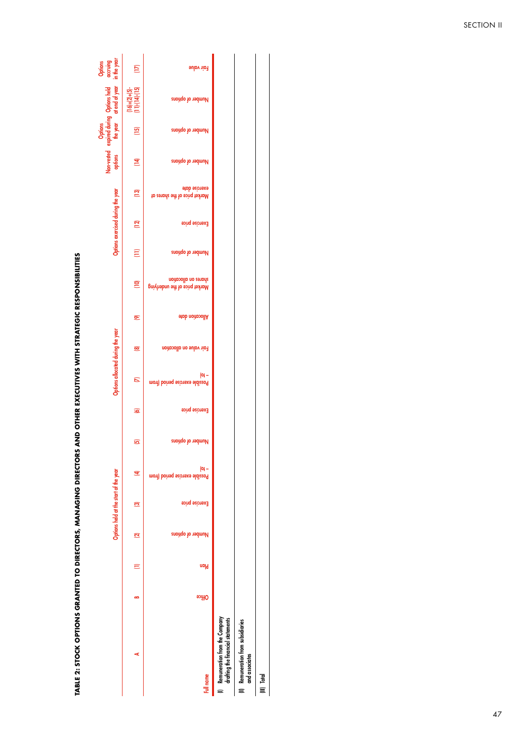| $\frac{1}{1}$                                                                                    |
|--------------------------------------------------------------------------------------------------|
|                                                                                                  |
| Ì<br>$\frac{1}{2}$                                                                               |
|                                                                                                  |
|                                                                                                  |
|                                                                                                  |
|                                                                                                  |
|                                                                                                  |
|                                                                                                  |
|                                                                                                  |
|                                                                                                  |
|                                                                                                  |
|                                                                                                  |
|                                                                                                  |
|                                                                                                  |
|                                                                                                  |
|                                                                                                  |
|                                                                                                  |
|                                                                                                  |
|                                                                                                  |
|                                                                                                  |
|                                                                                                  |
| TABLE 2: STOCK OPTIONS GRANTED TO DIRECTORS. MANAGING DIRECTORS AND OTHER EXECUTIVES WITH STRATE |
|                                                                                                  |
|                                                                                                  |
|                                                                                                  |
| Ì<br>֖֖֖֧֖֧ׅ֧֧֧֧֧֧֦֧֧֦֧֧֚֚֚֚֚֚֚֚֚֚֚֚֚֚֚֚֚֚֚֬֝֓֝֓֡֓֡֬֓֡֓֬֓֝֓֓֓֝֬֓֓֝֬                              |

|                                                                        |        |                  |                   | Options held at the start of the year |                                         |                   |                       |                                         | Options allocated during the year |                 |                                                        |                   | Options exercised during the year |                                                | Non-vested<br>options | Options<br>expired during<br>the year | at end of yea<br>Options held   | Options<br>accruing<br>in the year |
|------------------------------------------------------------------------|--------|------------------|-------------------|---------------------------------------|-----------------------------------------|-------------------|-----------------------|-----------------------------------------|-----------------------------------|-----------------|--------------------------------------------------------|-------------------|-----------------------------------|------------------------------------------------|-----------------------|---------------------------------------|---------------------------------|------------------------------------|
|                                                                        | ∞      |                  | ฐ                 | లె                                    | ₹                                       | ⊡                 | ଛ                     | ⊵                                       | ◙                                 | ଛ               | Ξ                                                      | Ξ                 | ខ្ន                               | ឨ                                              | $\overline{a}$        | Ξ                                     | (16)=(2)+(5)-<br>'11)-(14)-(15) | ≍                                  |
| Full name                                                              | Office | up <sub>ld</sub> | Number of options | Exercise price                        | (ol –<br>Possible exercise period (from | Number of options | <b>Exercise price</b> | (ol –<br>mont) boineq esiprexe eldizzoq | Fair value on allocation          | stob noitosollA | shares on allocation<br>Market price of the underlying | Number of options | Exercise price                    | exercise date<br>Market price of the shares at | Number of options     | Number of options                     | Number of options               | Fair value                         |
| (I) Remuneration from the Company<br>drafting the financial statements |        |                  |                   |                                       |                                         |                   |                       |                                         |                                   |                 |                                                        |                   |                                   |                                                |                       |                                       |                                 |                                    |
| (II) Remuneration from subsidiaries<br>and associates                  |        |                  |                   |                                       |                                         |                   |                       |                                         |                                   |                 |                                                        |                   |                                   |                                                |                       |                                       |                                 |                                    |

(III) Total

SECTION II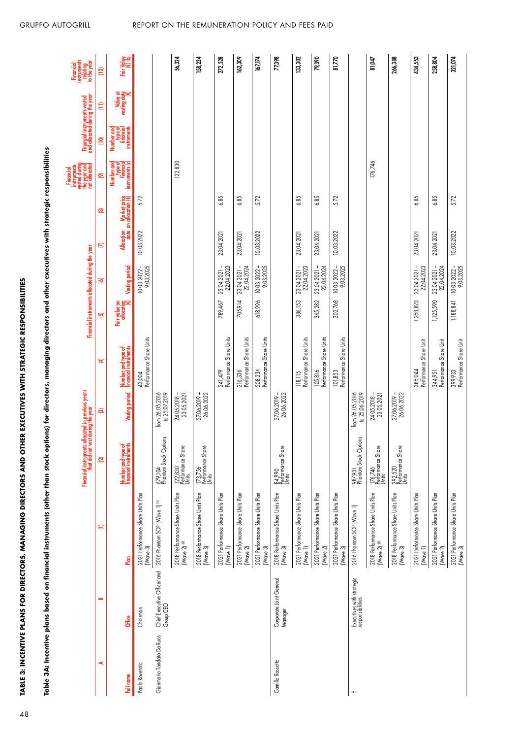| j                                       |  |
|-----------------------------------------|--|
|                                         |  |
|                                         |  |
|                                         |  |
|                                         |  |
|                                         |  |
| ו<br>ו                                  |  |
|                                         |  |
|                                         |  |
|                                         |  |
|                                         |  |
|                                         |  |
|                                         |  |
|                                         |  |
|                                         |  |
|                                         |  |
|                                         |  |
|                                         |  |
|                                         |  |
|                                         |  |
|                                         |  |
|                                         |  |
|                                         |  |
|                                         |  |
|                                         |  |
|                                         |  |
|                                         |  |
| i<br>!                                  |  |
|                                         |  |
|                                         |  |
|                                         |  |
|                                         |  |
|                                         |  |
|                                         |  |
|                                         |  |
|                                         |  |
| ļ                                       |  |
|                                         |  |
|                                         |  |
|                                         |  |
|                                         |  |
|                                         |  |
|                                         |  |
| こくしょう こうしょう                             |  |
|                                         |  |
|                                         |  |
|                                         |  |
|                                         |  |
|                                         |  |
|                                         |  |
|                                         |  |
|                                         |  |
|                                         |  |
|                                         |  |
|                                         |  |
|                                         |  |
| ļ                                       |  |
|                                         |  |
| $\frac{1}{2}$                           |  |
|                                         |  |
|                                         |  |
|                                         |  |
|                                         |  |
|                                         |  |
|                                         |  |
|                                         |  |
|                                         |  |
|                                         |  |
|                                         |  |
|                                         |  |
|                                         |  |
|                                         |  |
|                                         |  |
| しょうしゅう こうしょう しょうかん しょうかん しょうかん アイスト・シーク |  |
|                                         |  |
|                                         |  |
|                                         |  |
| j                                       |  |
| í                                       |  |

| $\overline{a}$           |
|--------------------------|
|                          |
|                          |
|                          |
|                          |
|                          |
|                          |
|                          |
|                          |
|                          |
|                          |
|                          |
|                          |
|                          |
|                          |
| ì                        |
| $\overline{\phantom{a}}$ |
| i<br>ׇ֚<br>Ē             |
|                          |
|                          |
|                          |
|                          |
|                          |
|                          |
|                          |
|                          |
|                          |
|                          |
| I                        |
|                          |

| Financial<br>instruments<br>relating<br>to the year                                    | $\overline{12}$ | Fair Value<br>(E) (b)                               |                                             |                                          | 56,324                                                       | 158,234                                       | 272,528                                       | 162,309                                       | 167,174                                       | 77,398                                      | 133,302                                      | 79,390                                        | 81,770                                        |                                               | 81,047                                                      | 266,388                                       | 434,553                                            | 258,804                                       | 321,074                                       |
|----------------------------------------------------------------------------------------|-----------------|-----------------------------------------------------|---------------------------------------------|------------------------------------------|--------------------------------------------------------------|-----------------------------------------------|-----------------------------------------------|-----------------------------------------------|-----------------------------------------------|---------------------------------------------|----------------------------------------------|-----------------------------------------------|-----------------------------------------------|-----------------------------------------------|-------------------------------------------------------------|-----------------------------------------------|----------------------------------------------------|-----------------------------------------------|-----------------------------------------------|
|                                                                                        | Ē               | Value at<br>vesting date<br>(E)                     |                                             |                                          |                                                              |                                               |                                               |                                               |                                               |                                             |                                              |                                               |                                               |                                               |                                                             |                                               |                                                    |                                               |                                               |
| Financial instruments vested<br>and allocated during the year                          | g               | tingments<br>Financial<br>instruments<br>Number and |                                             |                                          |                                                              |                                               |                                               |                                               |                                               |                                             |                                              |                                               |                                               |                                               |                                                             |                                               |                                                    |                                               |                                               |
| instruments<br>vested during<br>the year and<br>not allocated<br><b>Financial</b>      | ®               | Number and<br>pe.of<br>Financial<br>Instruments (c) |                                             |                                          | 122,830                                                      |                                               |                                               |                                               |                                               |                                             |                                              |                                               |                                               |                                               | 176,746                                                     |                                               |                                                    |                                               |                                               |
|                                                                                        | ◙               |                                                     | 5.72                                        |                                          |                                                              |                                               | 6.85                                          | 6.85                                          | 5.72                                          |                                             | 6.85                                         | 6.85                                          | 5.72                                          |                                               |                                                             |                                               | 6.85                                               | 6.85                                          | 5.72                                          |
|                                                                                        | S               | Allocation Market price<br>date on allocation (E)   | 10.03.2022                                  |                                          |                                                              |                                               | 23.04.2021                                    | 23.04.2021                                    | 10.03.2022                                    |                                             | 23.04.2021                                   | 23.04.2021                                    | 10.03.2022                                    |                                               |                                                             |                                               | 23.04.2021                                         | 23.04.2021                                    | 10.03.2022                                    |
| Financial instruments allocated during the year                                        | ଛ               | Vesting period                                      | 10.03.2022 -                                |                                          |                                                              |                                               | 23.04.2021 -<br>22.04.2023                    | 23.04.2021 -<br>22.04.2024                    | 10.03.2022 -                                  |                                             | 23.04.2021 -<br>22.04.2023                   | 23.04.2021 -<br>22.04.2024                    | 10.03.2022 -<br>9.03.2025                     |                                               |                                                             |                                               | 23.04.2021 -<br>22.04.2023                         | 23.04.2021 -<br>22.04.2024                    | 10.03.2022 -<br>9.03.2025                     |
|                                                                                        | ø               | Fair yalue on<br>allocation<br>(€)                  |                                             |                                          |                                                              |                                               | 789,467                                       | 705,914                                       | 618,996                                       |                                             | 386,153                                      | 345,282                                       | 302,768                                       |                                               |                                                             |                                               | 1,258,823                                          | 1,125,590                                     | 1,188,841                                     |
|                                                                                        | ₹               | Number and type of<br>financial instruments         | 43,004<br>Performance Share Units           |                                          |                                                              |                                               | Performance Share Units<br>241,479            | 216,336<br>Performance Share Units            | 208,234<br>Performance Share Units            |                                             | Performance Share Units<br>118,115           | Performance Share Units<br>105,816            | 101,853<br>Performance Share Units            |                                               |                                                             |                                               | Performance Share Unit<br>385,044                  | Performance Share Unit<br>344,951             | Performance Share Unit<br>399,933             |
|                                                                                        | ඕ               | Vesting period                                      |                                             | from 26.05.2016<br>to 25.07.2019         | 24.05.2018 -<br>23.05.2021                                   | 27.06.2019 -                                  |                                               |                                               |                                               | 27.06.2019 -                                |                                              |                                               |                                               | from 26.05.2016<br>to 25.06.2019              | 24.05.2018-<br>23.05.2021                                   | 27.06.2019 -                                  |                                                    |                                               |                                               |
| Financial instruments allocated in previous years<br>that did not vest during the year | Ø               | Number and type of<br>inancial instruments          |                                             | 679,104<br>Phantom Stock Options         | 122,830<br>Performance Share<br>Units                        | 173,756<br>Performance Share<br>Units         |                                               |                                               |                                               | 84,990<br>Performance Share<br>Units        |                                              |                                               |                                               | 987,931<br>Phantom Stock Options              | 176,746<br>Performance Share<br>Units                       | 292,520<br>Performance Share<br>Units         |                                                    |                                               |                                               |
|                                                                                        | Ξ               | <u>A</u> cn                                         | 2021 Performance Share Units Plan<br>Mave 3 | 2016 Phantom SOP [Wave 1] (a)            | 2018 Performance Share Units Plan<br>(Wave 2) <sup>(d)</sup> | 2018 Performance Share Units Plan<br>(Wave 3) | 2021 Performance Share Units Plan<br>[Nave 1] | 2021 Performance Share Units Plan<br>[Wave 2] | 2021 Performance Share Units Plan<br>[Wave 3] | 2018 Performance Share Units Plan<br>Wave 3 | 2021 Performance Share Units Plan<br>Wave 1) | 2021 Performance Share Units Plan<br>(Wave 2) | 2021 Performance Share Units Plan<br>(Wave 3) | 2016 Phantom SOP [Wave 1]                     | 2018 Performance Share Units Plan<br>[Wave $2$ ] $\vert$ d) | 2018 Performance Share Units Plan<br>[Vave 3] | 2021 Performance Share Units Plan<br>$W$ ave $\Pi$ | 2021 Performance Share Units Plan<br>(Wave 2) | 2021 Performance Share Units Plan<br>(Wave 3) |
|                                                                                        | œ               | <b>Office</b>                                       | Chairman                                    | Chief Executive Officer and<br>Group CEO |                                                              |                                               |                                               |                                               |                                               | Corporate Joint General<br>Manager          |                                              |                                               |                                               | Executives with strategic<br>responsibilities |                                                             |                                               |                                                    |                                               |                                               |
|                                                                                        | ⋖               | Full name                                           | Paolo Roverato                              | Gianmario Tondato Da Ruos                |                                                              |                                               |                                               |                                               |                                               | Camillo Rossotto                            |                                              |                                               |                                               | 5                                             |                                                             |                                               |                                                    |                                               |                                               |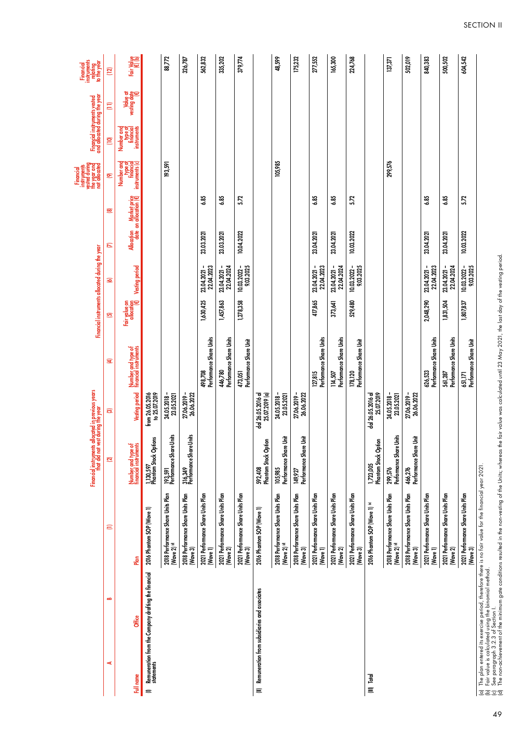|                                                                                |                                                                 | Financial instruments allocated in previous years<br>that did not vest during the year |                                     |                                             |                                    | Financial instruments allocated during the year |                    |                                      | Financial<br>instruments<br>yested during<br>the year and<br>not allocated | Financial instruments vested<br>and allocated during the year |                                 | instruments<br>relating<br>to the year<br>Financial |
|--------------------------------------------------------------------------------|-----------------------------------------------------------------|----------------------------------------------------------------------------------------|-------------------------------------|---------------------------------------------|------------------------------------|-------------------------------------------------|--------------------|--------------------------------------|----------------------------------------------------------------------------|---------------------------------------------------------------|---------------------------------|-----------------------------------------------------|
| œ<br>⋖                                                                         | Ξ                                                               | Ø                                                                                      | ణ                                   | ₹                                           | G                                  | ø                                               | ß                  | ◙                                    | œ                                                                          | e                                                             | Ē                               | $\overline{12}$                                     |
| Office<br>Full name                                                            | Plan                                                            | 'ㅎ은<br>Number and type<br>financial instrume                                           | Vesting period                      | Number and type of<br>financial instruments | Fair yalue on<br>allocation<br>(E) | Vesting period                                  | Allocation<br>date | n Market price<br>∘on allocation (€) | Number and<br>of the of<br>financial<br>instruments (c)                    | themultipular<br>Financial<br>Instruments<br>Number and       | Value at<br>vesting date<br>(E) | Fair Value<br>(E) (b)                               |
| Remuneration from the Company drafting the financial<br>statements<br>$\equiv$ | 2016 Phantom SOP [Wave 1]                                       | 1,130,597<br>Phantom Stock Options                                                     | from 26.05.2016<br>to 25.07.2019    |                                             |                                    |                                                 |                    |                                      |                                                                            |                                                               |                                 |                                                     |
|                                                                                | 2018 Performance Share Units Plan<br>(Wave $2$ ) <sup>(d)</sup> | 193,591<br>Performance Share Units                                                     | 24.05.2018-<br>23.05.2021           |                                             |                                    |                                                 |                    |                                      | 193,591                                                                    |                                                               |                                 | 88,772                                              |
|                                                                                | 2018 Performance Share Units Plan<br>Wave 3)                    | 316,349<br>Performance Share Units                                                     | 27.06.2019-<br>26.06.2022           |                                             |                                    |                                                 |                    |                                      |                                                                            |                                                               |                                 | 326,787                                             |
|                                                                                | 2021 Performance Share Units Plan<br>Wave 1)                    |                                                                                        |                                     | Performance Share Units<br>498,708          | 1,630,425                          | 23.04.2021 -<br>22.04.2023                      | 23.03.2021         | 6.85                                 |                                                                            |                                                               |                                 | 562,832                                             |
|                                                                                | 2021 Performance Share Units Plan<br>Wave 2)                    |                                                                                        |                                     | Performance Share Units<br>446,780          | 1,457,863                          | 23.04.2021-<br>22.04.2024                       | 23.03.2021         | 6.85                                 |                                                                            |                                                               |                                 | 335,202                                             |
|                                                                                | 2021 Performance Share Units Plan<br>Wave 3)                    |                                                                                        |                                     | Performance Share Unit<br>473,051           | 1,278,358                          | 9.03.2025<br>$10.03.2022 -$                     | 10.04.2022         | 5.72                                 |                                                                            |                                                               |                                 | 379,774                                             |
| (II) Remuneration from subsidiaries and associates                             | 2016 Phantom SOP [Wave 1]                                       | Phantom Stock Option<br>592,408                                                        | dal 26.05.2016 al<br>25.07.2019 (a) |                                             |                                    |                                                 |                    |                                      |                                                                            |                                                               |                                 |                                                     |
|                                                                                | 2018 Performance Share Units Plan<br>Wave 2) <sup>(d)</sup>     | Performance Share Unit<br>105,985                                                      | 24.05.2018-<br>23.05.2021           |                                             |                                    |                                                 |                    |                                      | 105,985                                                                    |                                                               |                                 | 48,599                                              |
|                                                                                | 2018 Performance Share Units Plan<br>Wave 3)                    | 149,927<br>Performance Share Unit                                                      | 27.06.2019-<br>26.06.2022           |                                             |                                    |                                                 |                    |                                      |                                                                            |                                                               |                                 | 175,232                                             |
|                                                                                | 2021 Performance Share Units Plan<br>(Mave 1)                   |                                                                                        |                                     | Performance Share Units<br>127,815          | 417,865                            | 23.04.2021 -<br>22.04.2023                      | 23.04.2021         | 6.85                                 |                                                                            |                                                               |                                 | 277,552                                             |
|                                                                                | 2021 Performance Share Units Plan<br>(Wave 2)                   |                                                                                        |                                     | Performance Share Units<br>114,507          | 373,641                            | 23.04.2021-<br>22.04.2024                       | 23.04.2021         | 6.85                                 |                                                                            |                                                               |                                 | 165,300                                             |
|                                                                                | 2021 Performance Share Units Plan<br>(Wave 3)                   |                                                                                        |                                     | Performance Share Unit<br>178,120           | 529,480                            | $10.03.2022 -$<br>9.03.2025                     | 10.03.2022         | 5.72                                 |                                                                            |                                                               |                                 | 224,768                                             |
| IIII) Total                                                                    | 2016 Phantom SOP [Wave 1] (a)                                   | Phantom Stock Option<br>1,723,005                                                      | 25.07.2019<br>dal 26.05.2016 al     |                                             |                                    |                                                 |                    |                                      |                                                                            |                                                               |                                 |                                                     |
|                                                                                | 2018 Performance Share Units Plan<br>(Wave $2$ ) <sup>(d)</sup> | Performance Share Units<br>299,576                                                     | 24.05.2018-<br>23.05.2021           |                                             |                                    |                                                 |                    |                                      | 299,576                                                                    |                                                               |                                 | 137,371                                             |
|                                                                                | 2018 Performance Share Units Plan<br>(Wave 3)                   | Performance Share Unit<br>466,276                                                      | 27.06.2019-<br>26.06.2022           |                                             |                                    |                                                 |                    |                                      |                                                                            |                                                               |                                 | 502,019                                             |
|                                                                                | 2021 Performance Share Units Plan<br>(Wave 1)                   |                                                                                        |                                     | Performance Share Units<br>626,523          | 2,048,290                          | 1<br>22.04.2023<br>23.04.2021                   | 23.04.2021         | 6.85                                 |                                                                            |                                                               |                                 | 840,383                                             |
|                                                                                | 2021 Performance Share Units Plan<br>(Wave 2)                   |                                                                                        |                                     | Performance Share Units<br>561,287          | 1,831,504                          | 23.04.2021 -<br>22.04.2024                      | 23.04.2021         | 6.85                                 |                                                                            |                                                               |                                 | 500,502                                             |
| 下口                                                                             | 2021 Performance Share Units Plan<br>(Wave 3)                   | .<br>COC                                                                               |                                     | Performance Share Unit<br>651,171           | 1,807,837                          | $10.03.2022 -$<br>9.03.2025                     | 10.03.2022         | 5.72                                 |                                                                            |                                                               |                                 | 604,542                                             |

(a) The plan entered its exercise period, therefore there is no fair value for the financial year 2021.

(b) Fair value is calculated using the binomial method. (c) See paragraph 3.2.3 of Section I.

(a) The plan entered its exercise periad, therefore there is no fair value for the financial year 2021.<br>(b) Fair value is calculated using the binamial method.<br>(d) The non-achievement of the minimum gate conditions resulte (d) The non-achievement of the minimum gate conditions resulted in the non-vesting of the Units; whereas the fair value was calculated until 23 May 2021, the last day of the vesting period.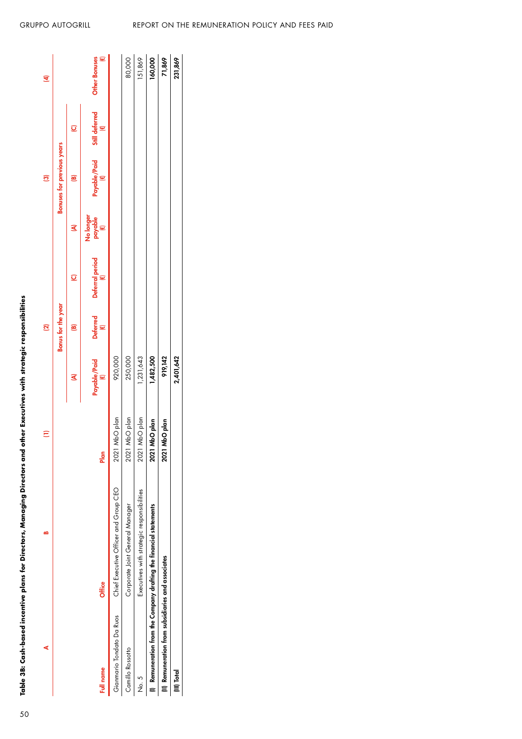| j              |
|----------------|
|                |
|                |
|                |
|                |
| $\overline{a}$ |
|                |
|                |
|                |
|                |
|                |
|                |
|                |
|                |
| j              |
|                |

50

| ⋖                                                  |                                                                     | Ξ             |                   | $\mathbf{\overline{S}}$   |                      |                             | O                                 |                                           | ₹                    |
|----------------------------------------------------|---------------------------------------------------------------------|---------------|-------------------|---------------------------|----------------------|-----------------------------|-----------------------------------|-------------------------------------------|----------------------|
|                                                    |                                                                     |               |                   | <b>Bonus for the year</b> |                      |                             | <b>Bonuses for previous years</b> |                                           |                      |
|                                                    |                                                                     |               | ℥                 | ☎                         | <u>ច</u>             | ℥                           | ☎                                 |                                           |                      |
| Full name                                          | <b>Office</b>                                                       | Plan          | Payable/Paid<br>⊕ | <b>Deferred</b><br>E      | Deferral period<br>⋓ | No longer<br>payable<br>(E) | Payable/Paid<br>œ                 | Still deferred<br>$\overline{\mathbf{P}}$ | <b>Other Bonuses</b> |
| Gianmario Tondato Da Ruos                          | Chief Executive Officer and Group CEO                               | 2021 MbO plan | 920,000           |                           |                      |                             |                                   |                                           |                      |
| Camillo Rossotto                                   | Corporate Joint General Manager                                     | 2021 MbO plan | 250,000           |                           |                      |                             |                                   |                                           | 80,000               |
| 5<br>Do.                                           | Executives with strategic responsibilities                          | 2021 MbO plan | 1,231,643         |                           |                      |                             |                                   |                                           | 151,869              |
|                                                    | (I) Remuneration from the Company drafting the financial statements | 2021 MbO plan | 1,482,500         |                           |                      |                             |                                   |                                           | 160,000              |
| (II) Remuneration from subsidiaries and associates |                                                                     | 2021 MbO plan | 919,142           |                           |                      |                             |                                   |                                           | 71,869               |
| (III) Total                                        |                                                                     |               | 2,401,642         |                           |                      |                             |                                   |                                           | 231,869              |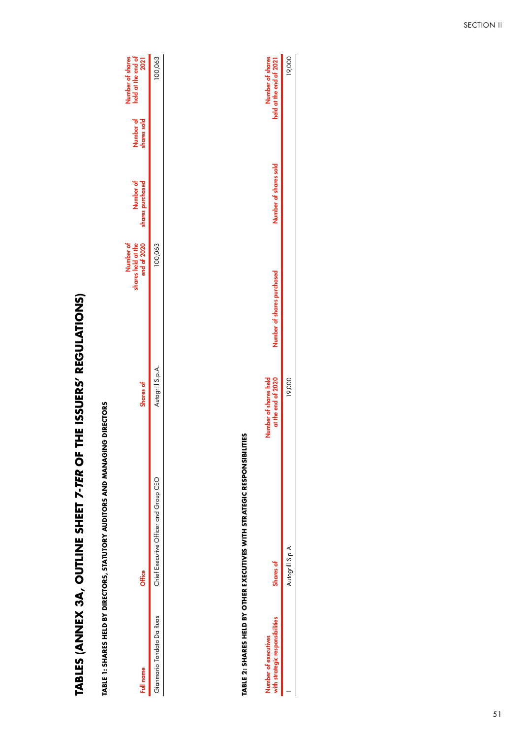TABLES (ANNEX 3A, OUTLINE SHEET 7-TER OF THE ISSUERS' REGULATIONS) **TABLES (ANNEX 3A, OUTLINE SHEET 7-TER OF THE ISSUERS' REGULATIONS)**

TABLE 1: SHARES HELD BY DIRECTORS, STATUTORY AUDITORS AND MANAGING DIRECTORS **TABLE 1: SHARES HELD BY DIRECTORS, STATUTORY AUDITORS AND MANAGING DIRECTORS**

| ull name                  | Office                                | hares of         | Number of<br>hares held at the<br>end of 2020 | Number of<br><b>Lares purchased</b> | Number of<br>shares sold | Number of shares<br>held at the end of<br>2021 |
|---------------------------|---------------------------------------|------------------|-----------------------------------------------|-------------------------------------|--------------------------|------------------------------------------------|
| Gianmario Tondato Da Ruos | Chief Executive Officer and Group CEO | Vutogrill S.p.A. | 100,063                                       |                                     |                          | 00,063                                         |
|                           |                                       |                  |                                               |                                     |                          |                                                |

# TABLE 2: SHARES HELD BY OTHER EXECUTIVES WITH STRATEGIC RESPONSIBILITIES **TABLE 2: SHARES HELD BY OTHER EXECUTIVES WITH STRATEGIC RESPONSIBILITIES**

| eld at the end of 2021<br>umber of share       | 19,000 |
|------------------------------------------------|--------|
| er of shares s                                 |        |
| er of shares n                                 |        |
| the end of 202 <sup>r</sup><br>er of shares he | 19,000 |
|                                                |        |
|                                                |        |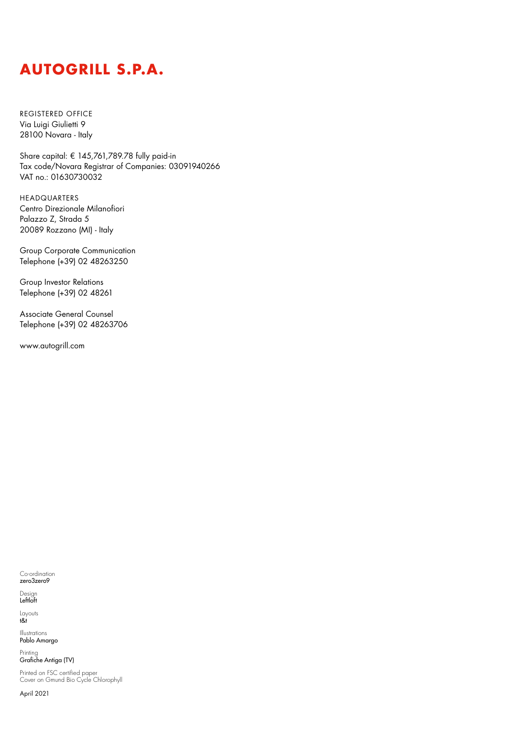### **AUTOGRILL S.P.A.**

REGISTERED OFFICE Via Luigi Giulietti 9 28100 Novara - Italy

Share capital: € 145,761,789.78 fully paid-in Tax code/Novara Registrar of Companies: 03091940266 VAT no.: 01630730032

HEADQUARTERS Centro Direzionale Milanofiori Palazzo Z, Strada 5 20089 Rozzano (MI) - Italy

Group Corporate Communication Telephone (+39) 02 48263250

Group Investor Relations Telephone (+39) 02 48261

Associate General Counsel Telephone (+39) 02 48263706

www.autogrill.com

Co-ordination zero3zero9

Design<br>**Leftloft** 

Layouts<br>**t&t** 

Illustrations Pablo Amargo

Printing Grafiche Antiga (TV)

Printed on FSC certified paper Cover on Gmund Bio Cycle Chlorophyll

April 2021